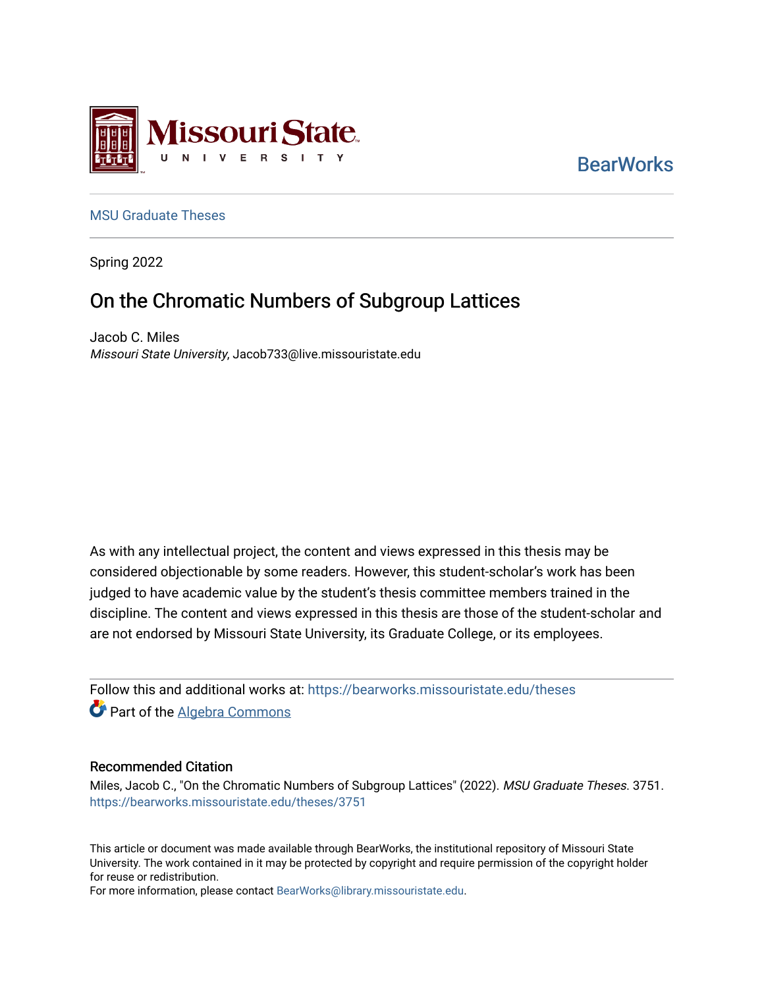

**BearWorks** 

## [MSU Graduate Theses](https://bearworks.missouristate.edu/theses)

Spring 2022

# On the Chromatic Numbers of Subgroup Lattices

Jacob C. Miles Missouri State University, Jacob733@live.missouristate.edu

As with any intellectual project, the content and views expressed in this thesis may be considered objectionable by some readers. However, this student-scholar's work has been judged to have academic value by the student's thesis committee members trained in the discipline. The content and views expressed in this thesis are those of the student-scholar and are not endorsed by Missouri State University, its Graduate College, or its employees.

Follow this and additional works at: [https://bearworks.missouristate.edu/theses](https://bearworks.missouristate.edu/theses?utm_source=bearworks.missouristate.edu%2Ftheses%2F3751&utm_medium=PDF&utm_campaign=PDFCoverPages)  Part of the [Algebra Commons](https://network.bepress.com/hgg/discipline/175?utm_source=bearworks.missouristate.edu%2Ftheses%2F3751&utm_medium=PDF&utm_campaign=PDFCoverPages)

#### Recommended Citation

Miles, Jacob C., "On the Chromatic Numbers of Subgroup Lattices" (2022). MSU Graduate Theses. 3751. [https://bearworks.missouristate.edu/theses/3751](https://bearworks.missouristate.edu/theses/3751?utm_source=bearworks.missouristate.edu%2Ftheses%2F3751&utm_medium=PDF&utm_campaign=PDFCoverPages) 

This article or document was made available through BearWorks, the institutional repository of Missouri State University. The work contained in it may be protected by copyright and require permission of the copyright holder for reuse or redistribution.

For more information, please contact [BearWorks@library.missouristate.edu.](mailto:BearWorks@library.missouristate.edu)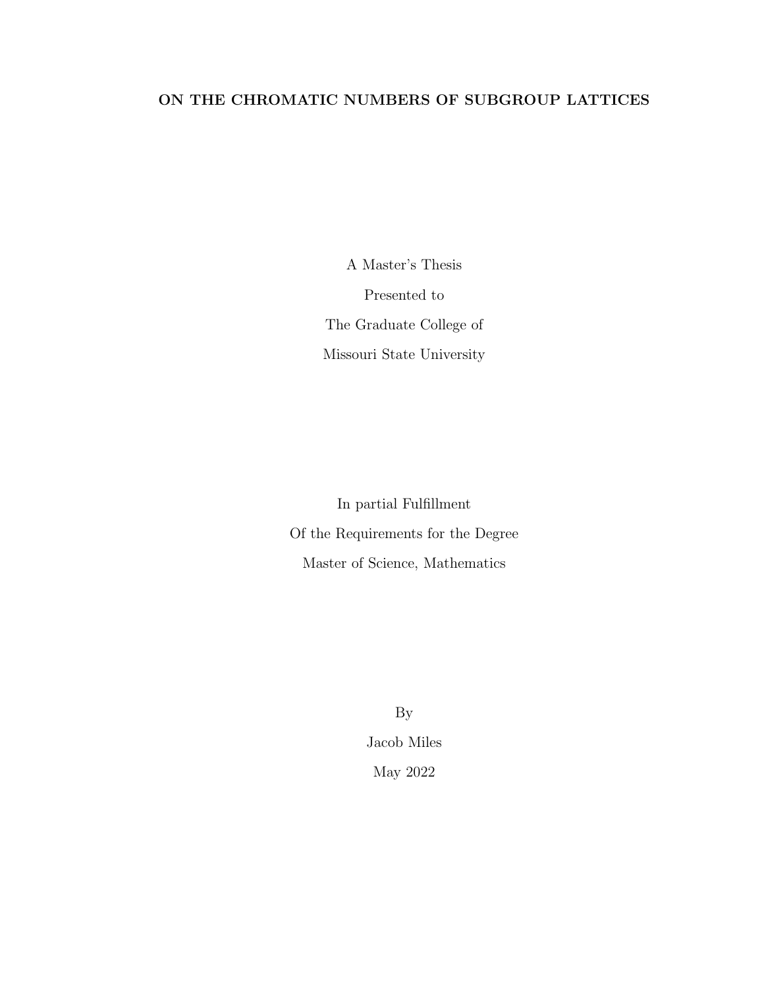# ON THE CHROMATIC NUMBERS OF SUBGROUP LATTICES

A Master's Thesis Presented to The Graduate College of Missouri State University

In partial Fulfllment Of the Requirements for the Degree Master of Science, Mathematics

> By Jacob Miles May 2022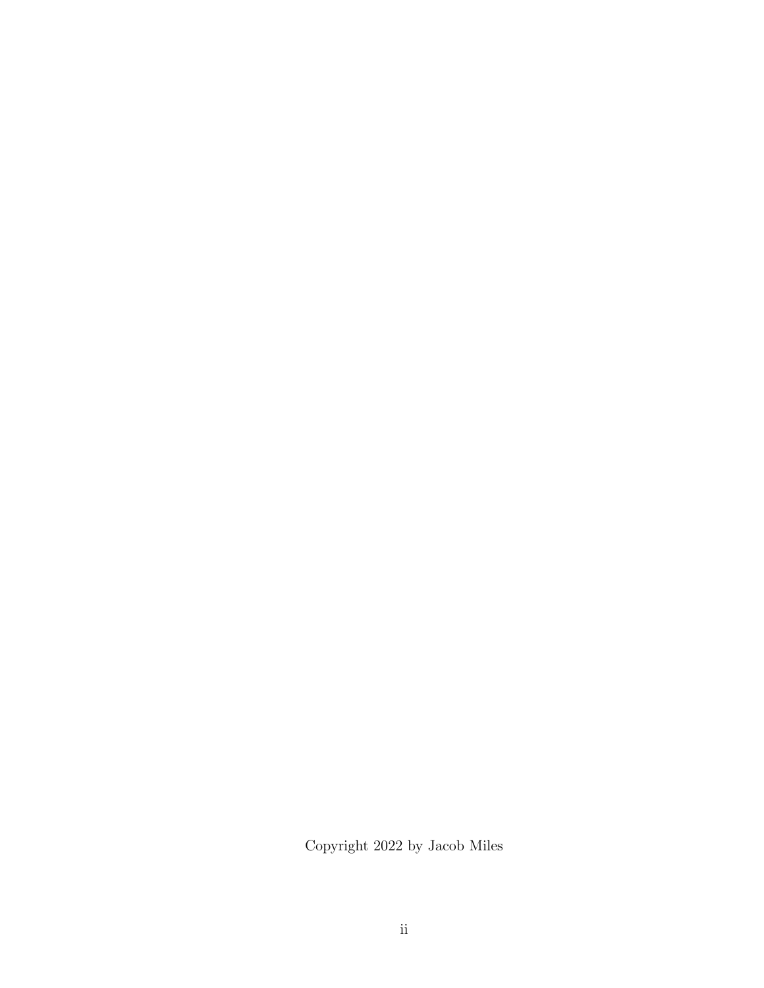Copyright 2022 by Jacob Miles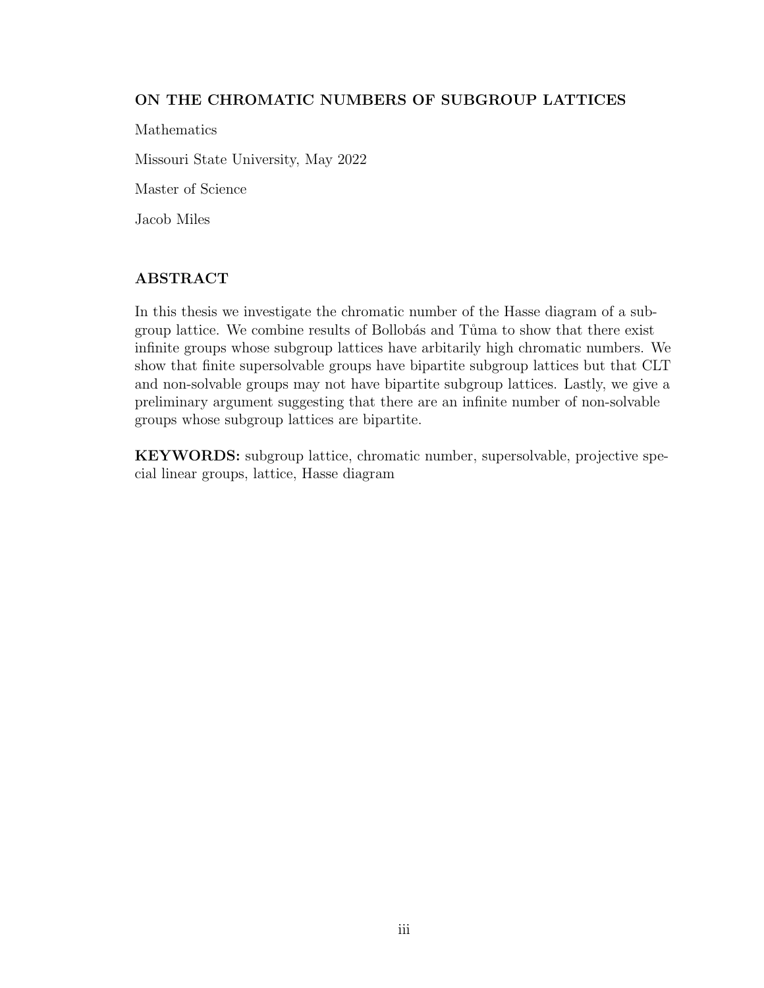## ON THE CHROMATIC NUMBERS OF SUBGROUP LATTICES

Mathematics Missouri State University, May 2022 Master of Science Jacob Miles

## ABSTRACT

In this thesis we investigate the chromatic number of the Hasse diagram of a subgroup lattice. We combine results of Bollobás and Tůma to show that there exist infnite groups whose subgroup lattices have arbitarily high chromatic numbers. We show that fnite supersolvable groups have bipartite subgroup lattices but that CLT and non-solvable groups may not have bipartite subgroup lattices. Lastly, we give a preliminary argument suggesting that there are an infnite number of non-solvable groups whose subgroup lattices are bipartite.

KEYWORDS: subgroup lattice, chromatic number, supersolvable, projective special linear groups, lattice, Hasse diagram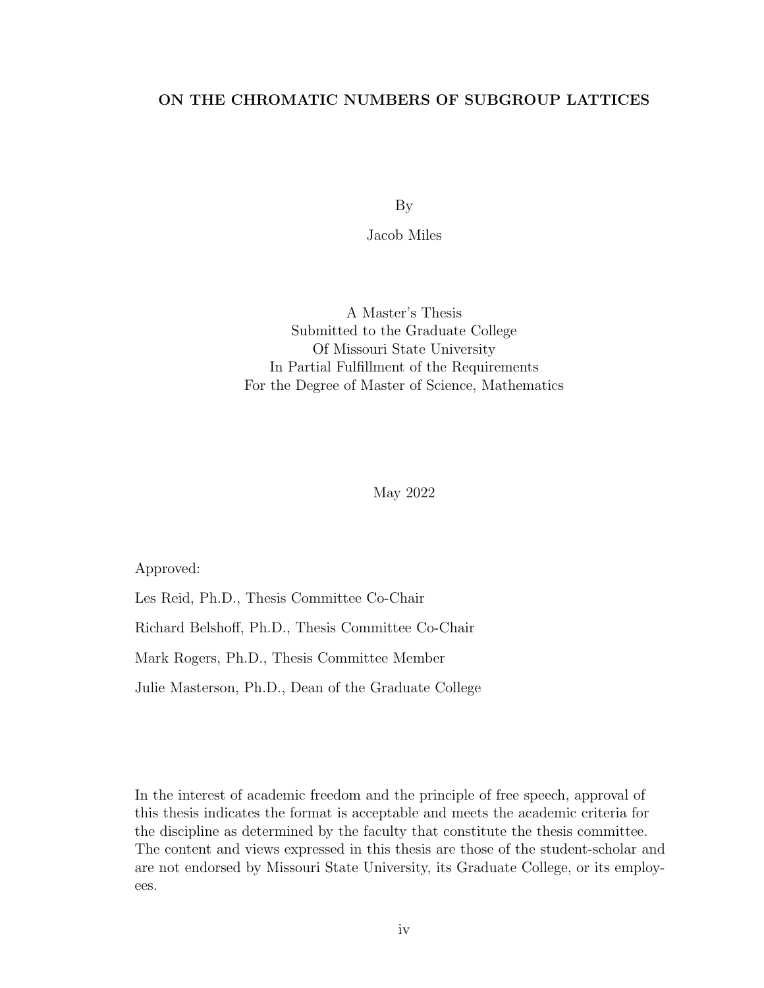## ON THE CHROMATIC NUMBERS OF SUBGROUP LATTICES

By

Jacob Miles

A Master's Thesis Submitted to the Graduate College Of Missouri State University In Partial Fulfllment of the Requirements For the Degree of Master of Science, Mathematics

May 2022

Approved:

Les Reid, Ph.D., Thesis Committee Co-Chair

Richard Belshof, Ph.D., Thesis Committee Co-Chair

Mark Rogers, Ph.D., Thesis Committee Member

Julie Masterson, Ph.D., Dean of the Graduate College

In the interest of academic freedom and the principle of free speech, approval of this thesis indicates the format is acceptable and meets the academic criteria for the discipline as determined by the faculty that constitute the thesis committee. The content and views expressed in this thesis are those of the student-scholar and are not endorsed by Missouri State University, its Graduate College, or its employees.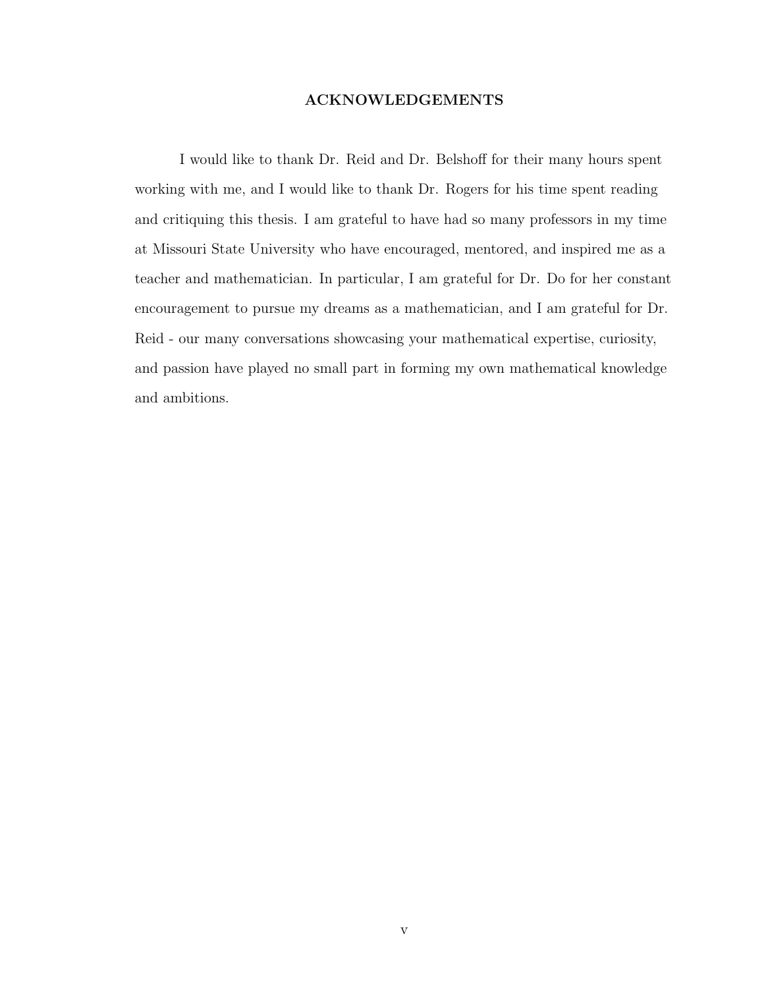#### ACKNOWLEDGEMENTS

I would like to thank Dr. Reid and Dr. Belshoff for their many hours spent working with me, and I would like to thank Dr. Rogers for his time spent reading and critiquing this thesis. I am grateful to have had so many professors in my time at Missouri State University who have encouraged, mentored, and inspired me as a teacher and mathematician. In particular, I am grateful for Dr. Do for her constant encouragement to pursue my dreams as a mathematician, and I am grateful for Dr. Reid - our many conversations showcasing your mathematical expertise, curiosity, and passion have played no small part in forming my own mathematical knowledge and ambitions.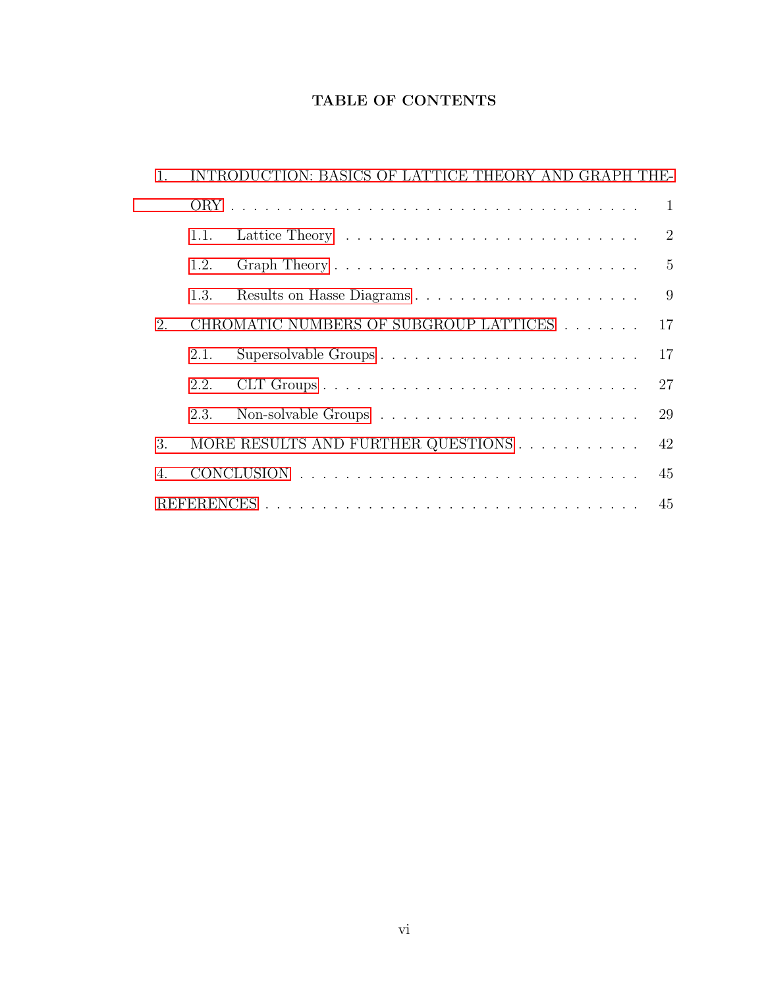# TABLE OF CONTENTS

| 1. |      | INTRODUCTION: BASICS OF LATTICE THEORY AND GRAPH THE- |  |  |
|----|------|-------------------------------------------------------|--|--|
|    |      | -1                                                    |  |  |
|    | 1.1. | 2                                                     |  |  |
|    | 1.2. | $5\overline{)}$                                       |  |  |
|    | 1.3. | 9<br>Results on Hasse Diagrams                        |  |  |
| 2. |      | CHROMATIC NUMBERS OF SUBGROUP LATTICES<br>17          |  |  |
|    | 2.1. | 17<br>Supersolvable Groups                            |  |  |
|    | 2.2. | 27                                                    |  |  |
|    | 2.3. | 29                                                    |  |  |
| 3. |      | 42                                                    |  |  |
| 4. |      | 45                                                    |  |  |
|    |      |                                                       |  |  |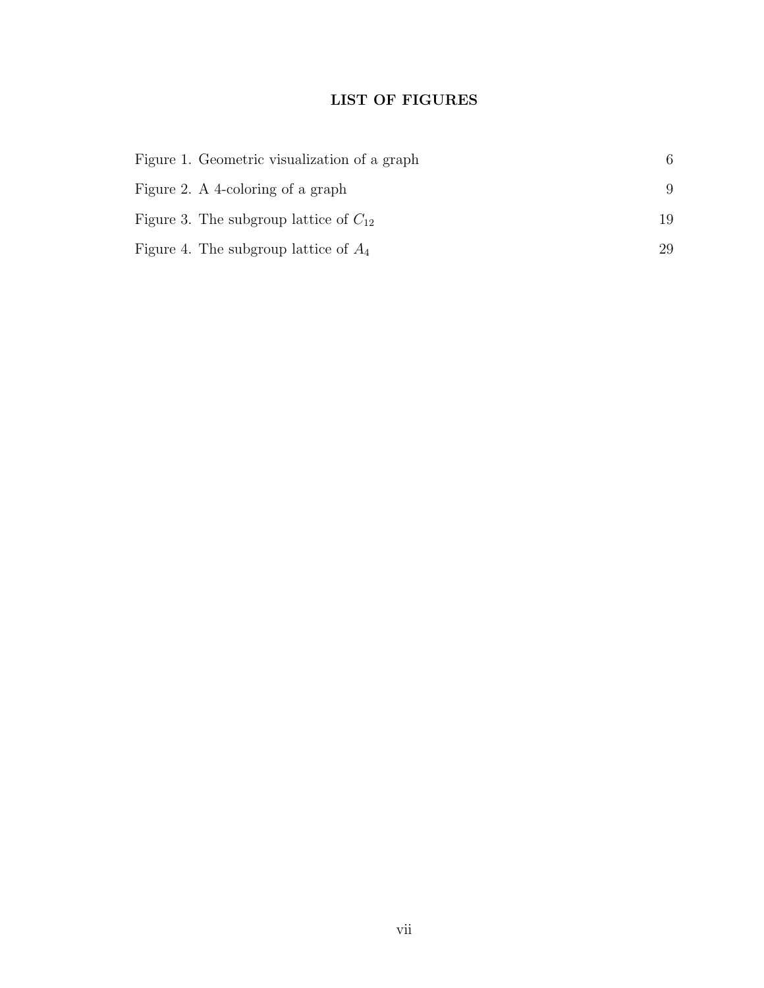# LIST OF FIGURES

| Figure 1. Geometric visualization of a graph | 6  |
|----------------------------------------------|----|
| Figure 2. A 4-coloring of a graph            | 9  |
| Figure 3. The subgroup lattice of $C_{12}$   | 19 |
| Figure 4. The subgroup lattice of $A_4$      | 29 |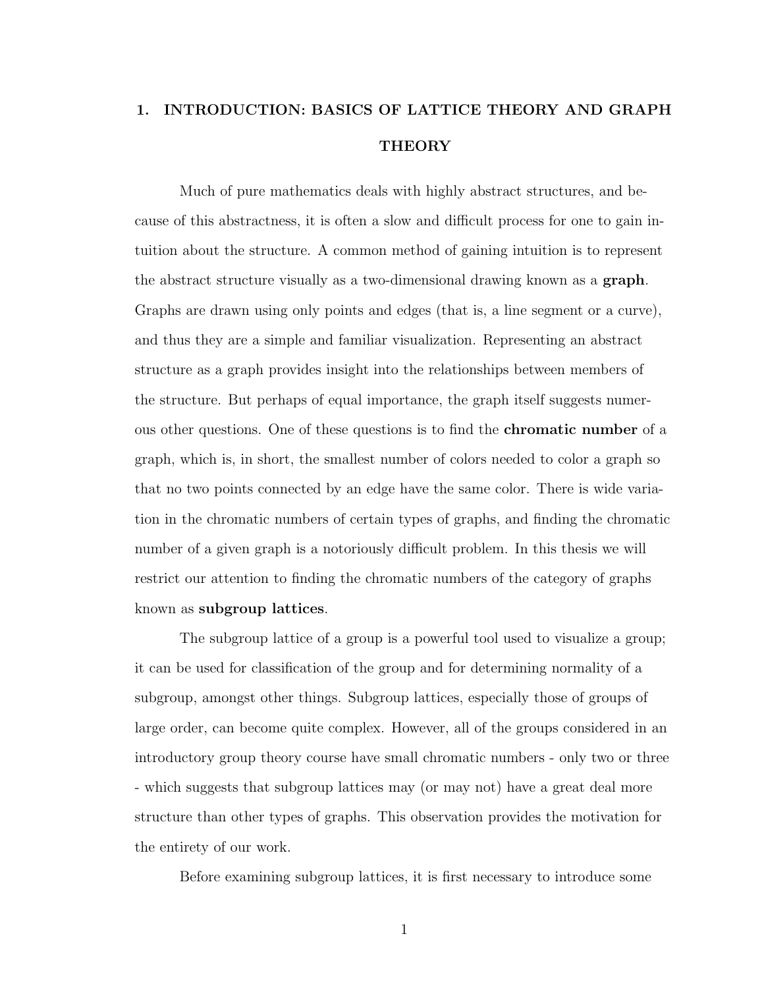# <span id="page-8-0"></span>1. INTRODUCTION: BASICS OF LATTICE THEORY AND GRAPH **THEORY**

Much of pure mathematics deals with highly abstract structures, and because of this abstractness, it is often a slow and difficult process for one to gain intuition about the structure. A common method of gaining intuition is to represent the abstract structure visually as a two-dimensional drawing known as a **graph**. Graphs are drawn using only points and edges (that is, a line segment or a curve), and thus they are a simple and familiar visualization. Representing an abstract structure as a graph provides insight into the relationships between members of the structure. But perhaps of equal importance, the graph itself suggests numerous other questions. One of these questions is to fnd the chromatic number of a graph, which is, in short, the smallest number of colors needed to color a graph so that no two points connected by an edge have the same color. There is wide variation in the chromatic numbers of certain types of graphs, and fnding the chromatic number of a given graph is a notoriously difficult problem. In this thesis we will restrict our attention to fnding the chromatic numbers of the category of graphs known as subgroup lattices.

The subgroup lattice of a group is a powerful tool used to visualize a group; it can be used for classifcation of the group and for determining normality of a subgroup, amongst other things. Subgroup lattices, especially those of groups of large order, can become quite complex. However, all of the groups considered in an introductory group theory course have small chromatic numbers - only two or three - which suggests that subgroup lattices may (or may not) have a great deal more structure than other types of graphs. This observation provides the motivation for the entirety of our work.

Before examining subgroup lattices, it is frst necessary to introduce some

1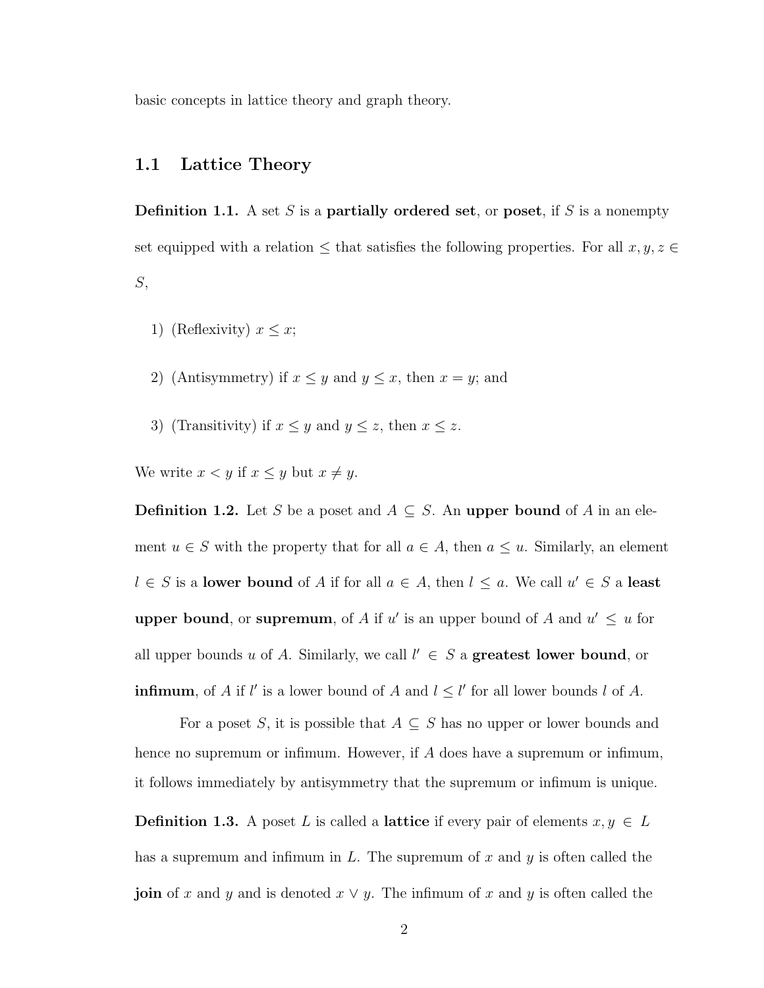basic concepts in lattice theory and graph theory.

## <span id="page-9-0"></span>1.1 Lattice Theory

**Definition 1.1.** A set S is a **partially ordered set**, or **poset**, if S is a nonempty set equipped with a relation  $\leq$  that satisfies the following properties. For all  $x, y, z \in$  $S$ ,

- 1) (Reflexivity)  $x \leq x$ ;
- 2) (Antisymmetry) if  $x \leq y$  and  $y \leq x$ , then  $x = y$ ; and
- 3) (Transitivity) if  $x \leq y$  and  $y \leq z$ , then  $x \leq z$ .

We write  $x < y$  if  $x \le y$  but  $x \ne y$ .

**Definition 1.2.** Let S be a poset and  $A \subseteq S$ . An upper bound of A in an element  $u \in S$  with the property that for all  $a \in A$ , then  $a \leq u$ . Similarly, an element  $l \in S$  is a lower bound of A if for all  $a \in A$ , then  $l \leq a$ . We call  $u' \in S$  a least upper bound, or supremum, of A if u' is an upper bound of A and  $u' \leq u$  for all upper bounds u of A. Similarly, we call  $l' \in S$  a greatest lower bound, or **infimum**, of A if l' is a lower bound of A and  $l \leq l'$  for all lower bounds l of A.

For a poset S, it is possible that  $A \subseteq S$  has no upper or lower bounds and hence no supremum or infimum. However, if A does have a supremum or infimum, it follows immediately by antisymmetry that the supremum or infmum is unique.

**Definition 1.3.** A poset L is called a **lattice** if every pair of elements  $x, y \in L$ has a supremum and infimum in  $L$ . The supremum of  $x$  and  $y$  is often called the **join** of x and y and is denoted  $x \vee y$ . The infimum of x and y is often called the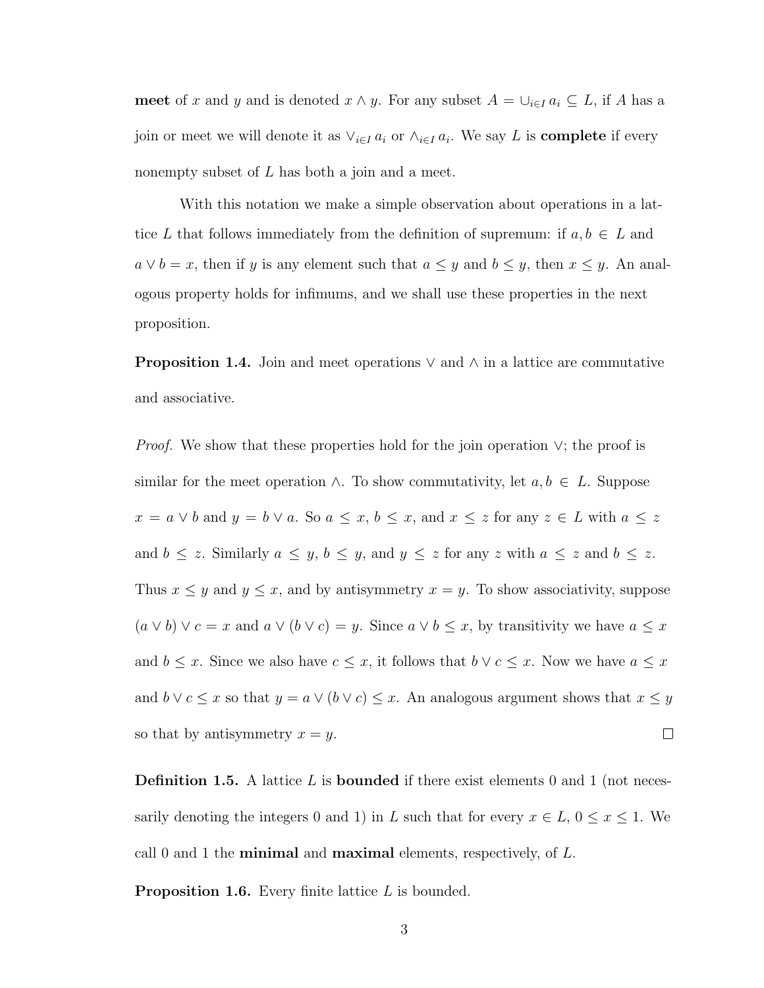meet of x and y and is denoted  $x \wedge y$ . For any subset  $A = \bigcup_{i \in I} a_i \subseteq L$ , if A has a join or meet we will denote it as  $\vee_{i\in I} a_i$  or  $\wedge_{i\in I} a_i$ . We say L is **complete** if every nonempty subset of  $L$  has both a join and a meet.

With this notation we make a simple observation about operations in a lattice L that follows immediately from the definition of supremum: if  $a, b \in L$  and  $a \vee b = x$ , then if y is any element such that  $a \leq y$  and  $b \leq y$ , then  $x \leq y$ . An analogous property holds for infmums, and we shall use these properties in the next proposition.

**Proposition 1.4.** Join and meet operations  $\vee$  and  $\wedge$  in a lattice are commutative and associative.

*Proof.* We show that these properties hold for the join operation  $\vee$ ; the proof is similar for the meet operation  $\wedge$ . To show commutativity, let  $a, b \in L$ . Suppose  $x = a \vee b$  and  $y = b \vee a$ . So  $a \le x, b \le x$ , and  $x \le z$  for any  $z \in L$  with  $a \le z$ and  $b \leq z$ . Similarly  $a \leq y$ ,  $b \leq y$ , and  $y \leq z$  for any z with  $a \leq z$  and  $b \leq z$ . Thus  $x \leq y$  and  $y \leq x$ , and by antisymmetry  $x = y$ . To show associativity, suppose  $(a \vee b) \vee c = x$  and  $a \vee (b \vee c) = y$ . Since  $a \vee b \le x$ , by transitivity we have  $a \le x$ and  $b \leq x$ . Since we also have  $c \leq x$ , it follows that  $b \vee c \leq x$ . Now we have  $a \leq x$ and  $b \vee c \leq x$  so that  $y = a \vee (b \vee c) \leq x$ . An analogous argument shows that  $x \leq y$ so that by antisymmetry  $x = y$ .  $\Box$ 

**Definition 1.5.** A lattice L is **bounded** if there exist elements 0 and 1 (not necessarily denoting the integers 0 and 1) in L such that for every  $x \in L$ ,  $0 \le x \le 1$ . We call 0 and 1 the **minimal** and **maximal** elements, respectively, of  $L$ .

**Proposition 1.6.** Every finite lattice  $L$  is bounded.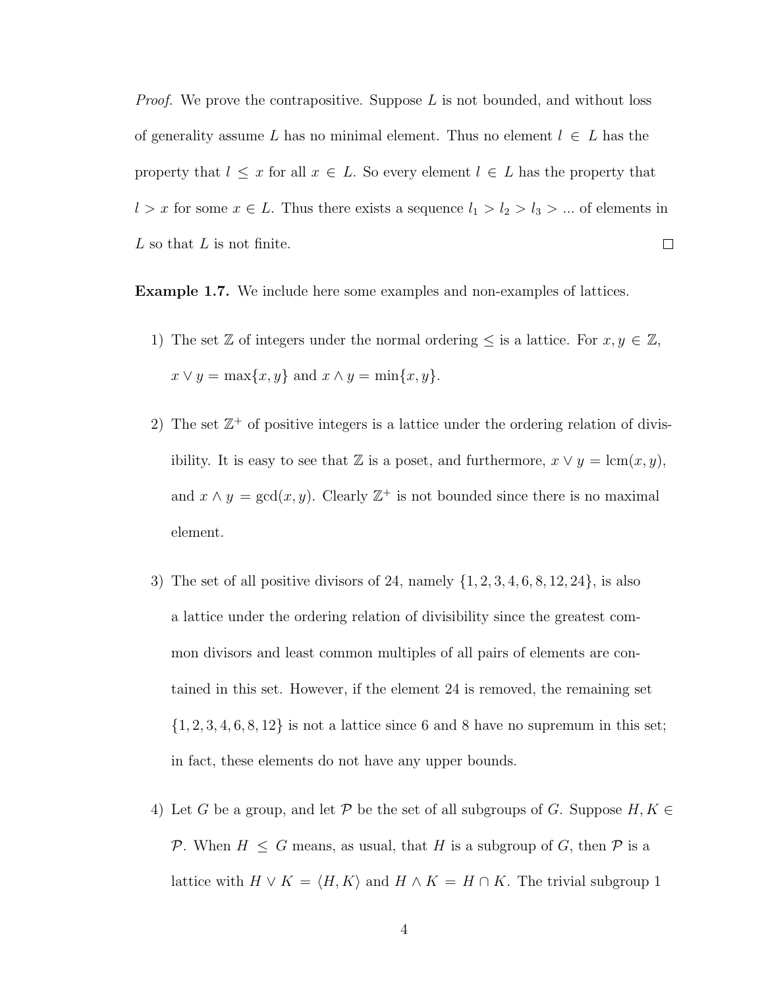*Proof.* We prove the contrapositive. Suppose  $L$  is not bounded, and without loss of generality assume L has no minimal element. Thus no element  $l \in L$  has the property that  $l \leq x$  for all  $x \in L$ . So every element  $l \in L$  has the property that l > x for some  $x \in L$ . Thus there exists a sequence  $l_1 > l_2 > l_3 > ...$  of elements in  $L$  so that  $L$  is not finite.  $\Box$ 

Example 1.7. We include here some examples and non-examples of lattices.

- 1) The set Z of integers under the normal ordering  $\leq$  is a lattice. For  $x, y \in \mathbb{Z}$ ,  $x \vee y = \max\{x, y\}$  and  $x \wedge y = \min\{x, y\}.$
- 2) The set  $\mathbb{Z}^+$  of positive integers is a lattice under the ordering relation of divisibility. It is easy to see that Z is a poset, and furthermore,  $x \vee y = \text{lcm}(x, y)$ , and  $x \wedge y = \gcd(x, y)$ . Clearly  $\mathbb{Z}^+$  is not bounded since there is no maximal element.
- 3) The set of all positive divisors of 24, namely  $\{1, 2, 3, 4, 6, 8, 12, 24\}$ , is also a lattice under the ordering relation of divisibility since the greatest common divisors and least common multiples of all pairs of elements are contained in this set. However, if the element 24 is removed, the remaining set  $\{1, 2, 3, 4, 6, 8, 12\}$  is not a lattice since 6 and 8 have no supremum in this set; in fact, these elements do not have any upper bounds.
- 4) Let G be a group, and let P be the set of all subgroups of G. Suppose  $H, K \in$ P. When  $H \leq G$  means, as usual, that H is a subgroup of G, then P is a lattice with  $H \vee K = \langle H, K \rangle$  and  $H \wedge K = H \cap K$ . The trivial subgroup 1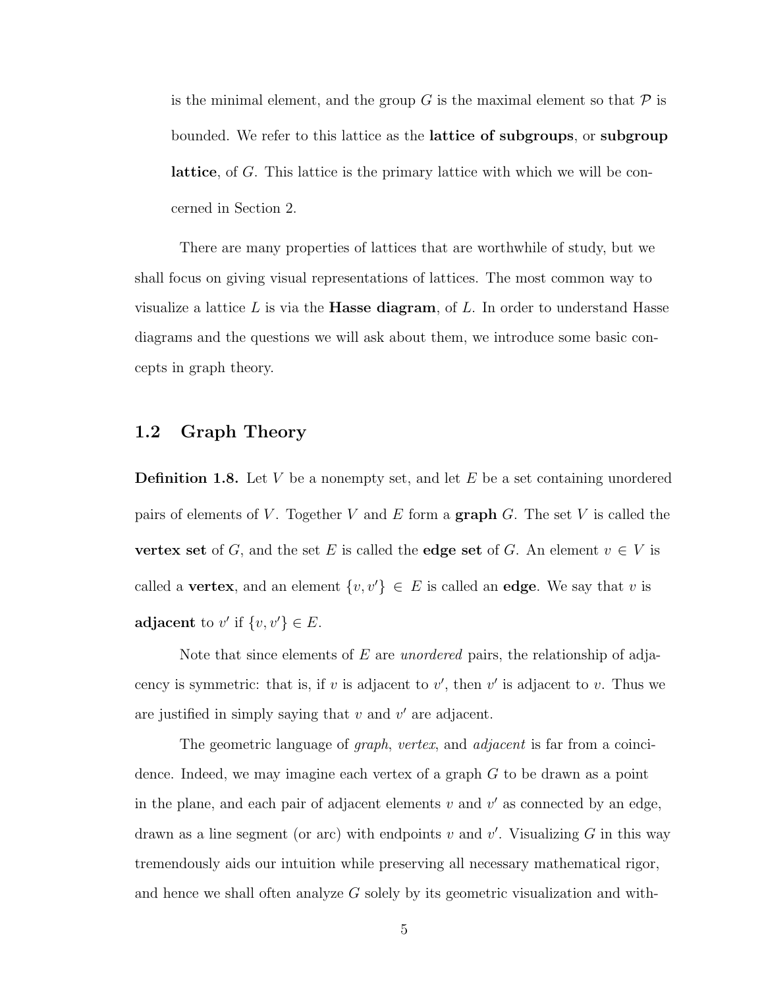is the minimal element, and the group G is the maximal element so that  $\mathcal P$  is bounded. We refer to this lattice as the lattice of subgroups, or subgroup lattice, of G. This lattice is the primary lattice with which we will be concerned in Section 2.

There are many properties of lattices that are worthwhile of study, but we shall focus on giving visual representations of lattices. The most common way to visualize a lattice  $L$  is via the **Hasse diagram**, of  $L$ . In order to understand Hasse diagrams and the questions we will ask about them, we introduce some basic concepts in graph theory.

## <span id="page-12-0"></span>1.2 Graph Theory

**Definition 1.8.** Let V be a nonempty set, and let E be a set containing unordered pairs of elements of V. Together V and E form a graph G. The set V is called the vertex set of G, and the set E is called the edge set of G. An element  $v \in V$  is called a **vertex**, and an element  $\{v, v'\} \in E$  is called an **edge**. We say that v is adjacent to v' if  $\{v, v'\} \in E$ .

Note that since elements of  $E$  are *unordered* pairs, the relationship of adjacency is symmetric: that is, if v is adjacent to  $v'$ , then  $v'$  is adjacent to v. Thus we are justified in simply saying that  $v$  and  $v'$  are adjacent.

The geometric language of *graph*, vertex, and *adjacent* is far from a coincidence. Indeed, we may imagine each vertex of a graph  $G$  to be drawn as a point in the plane, and each pair of adjacent elements  $v$  and  $v'$  as connected by an edge, drawn as a line segment (or arc) with endpoints  $v$  and  $v'$ . Visualizing  $G$  in this way tremendously aids our intuition while preserving all necessary mathematical rigor, and hence we shall often analyze  $G$  solely by its geometric visualization and with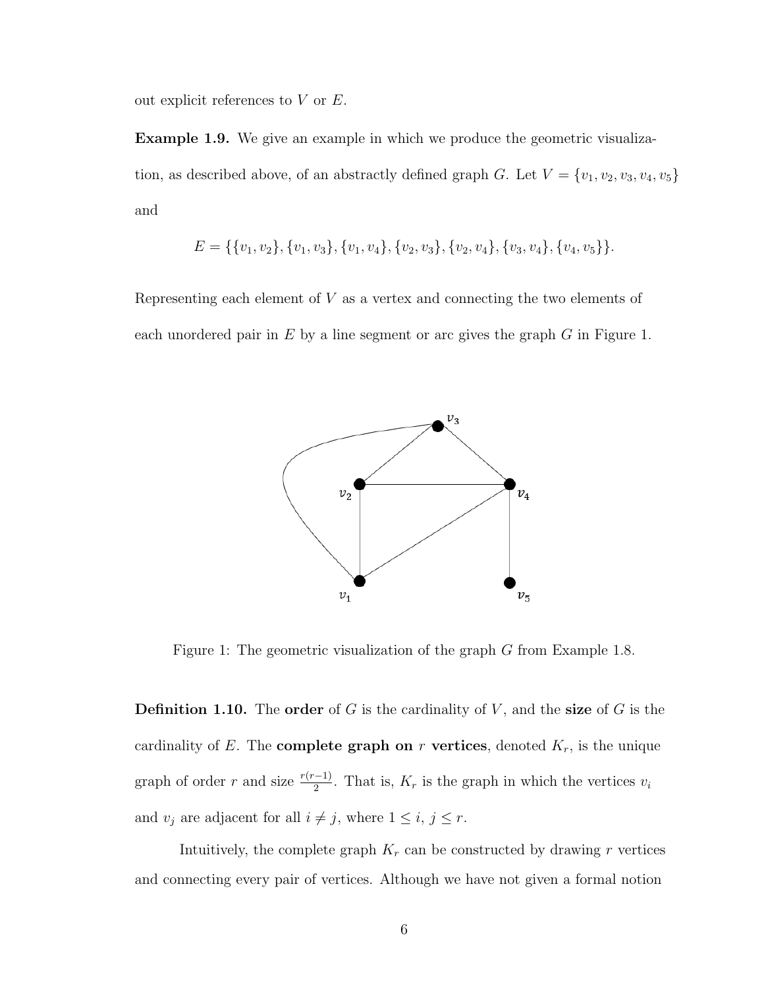out explicit references to  $V$  or  $E$ .

Example 1.9. We give an example in which we produce the geometric visualization, as described above, of an abstractly defined graph G. Let  $V = \{v_1, v_2, v_3, v_4, v_5\}$ and

$$
E = \{\{v_1, v_2\}, \{v_1, v_3\}, \{v_1, v_4\}, \{v_2, v_3\}, \{v_2, v_4\}, \{v_3, v_4\}, \{v_4, v_5\}\}.
$$

Representing each element of  $V$  as a vertex and connecting the two elements of each unordered pair in  $E$  by a line segment or arc gives the graph  $G$  in Figure 1.



Figure 1: The geometric visualization of the graph G from Example 1.8.

**Definition 1.10.** The order of  $G$  is the cardinality of  $V$ , and the size of  $G$  is the cardinality of E. The **complete graph on** r **vertices**, denoted  $K_r$ , is the unique graph of order r and size  $\frac{r(r-1)}{2}$ . That is,  $K_r$  is the graph in which the vertices  $v_i$ and  $v_j$  are adjacent for all  $i \neq j$ , where  $1 \leq i, j \leq r$ .

Intuitively, the complete graph  $K_r$  can be constructed by drawing r vertices and connecting every pair of vertices. Although we have not given a formal notion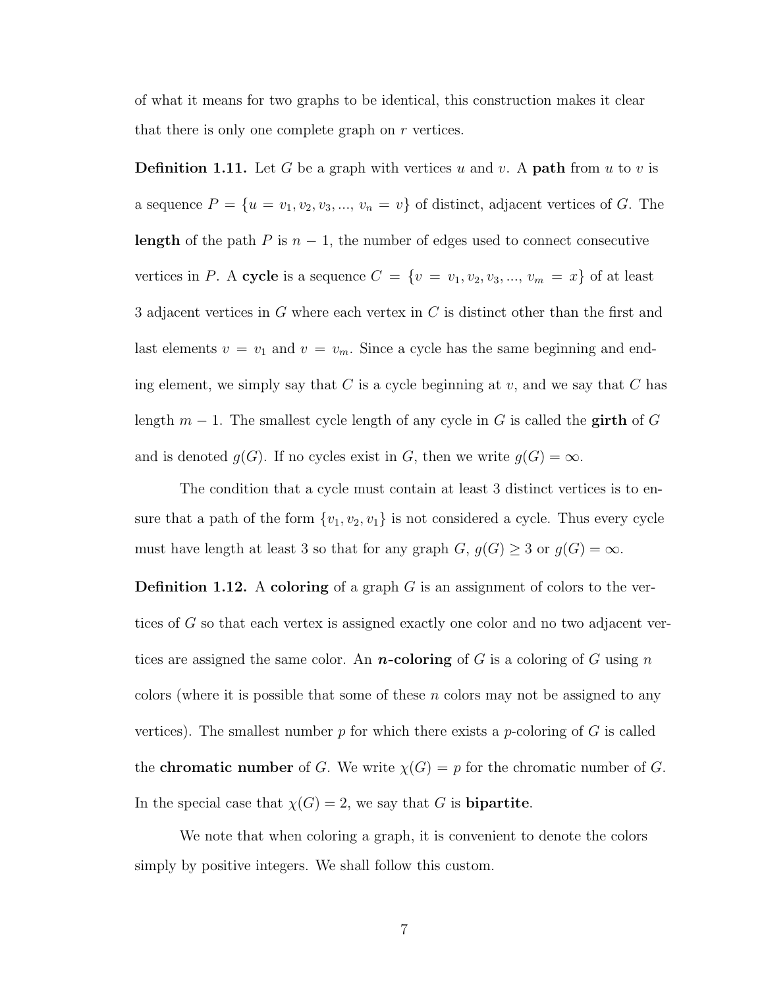of what it means for two graphs to be identical, this construction makes it clear that there is only one complete graph on  $r$  vertices.

**Definition 1.11.** Let G be a graph with vertices u and v. A **path** from u to v is a sequence  $P = \{u = v_1, v_2, v_3, ..., v_n = v\}$  of distinct, adjacent vertices of G. The length of the path P is  $n-1$ , the number of edges used to connect consecutive vertices in P. A cycle is a sequence  $C = \{v = v_1, v_2, v_3, ..., v_m = x\}$  of at least 3 adjacent vertices in G where each vertex in C is distinct other than the frst and last elements  $v = v_1$  and  $v = v_m$ . Since a cycle has the same beginning and ending element, we simply say that C is a cycle beginning at  $v$ , and we say that C has length  $m-1$ . The smallest cycle length of any cycle in G is called the **girth** of G and is denoted  $g(G)$ . If no cycles exist in G, then we write  $g(G) = \infty$ .

The condition that a cycle must contain at least 3 distinct vertices is to ensure that a path of the form  $\{v_1, v_2, v_1\}$  is not considered a cycle. Thus every cycle must have length at least 3 so that for any graph  $G, g(G) \geq 3$  or  $g(G) = \infty$ .

**Definition 1.12.** A coloring of a graph  $G$  is an assignment of colors to the vertices of G so that each vertex is assigned exactly one color and no two adjacent vertices are assigned the same color. An **n**-coloring of G is a coloring of G using n colors (where it is possible that some of these  $n$  colors may not be assigned to any vertices). The smallest number  $p$  for which there exists a  $p$ -coloring of  $G$  is called the **chromatic number** of G. We write  $\chi(G) = p$  for the chromatic number of G. In the special case that  $\chi(G) = 2$ , we say that G is **bipartite**.

We note that when coloring a graph, it is convenient to denote the colors simply by positive integers. We shall follow this custom.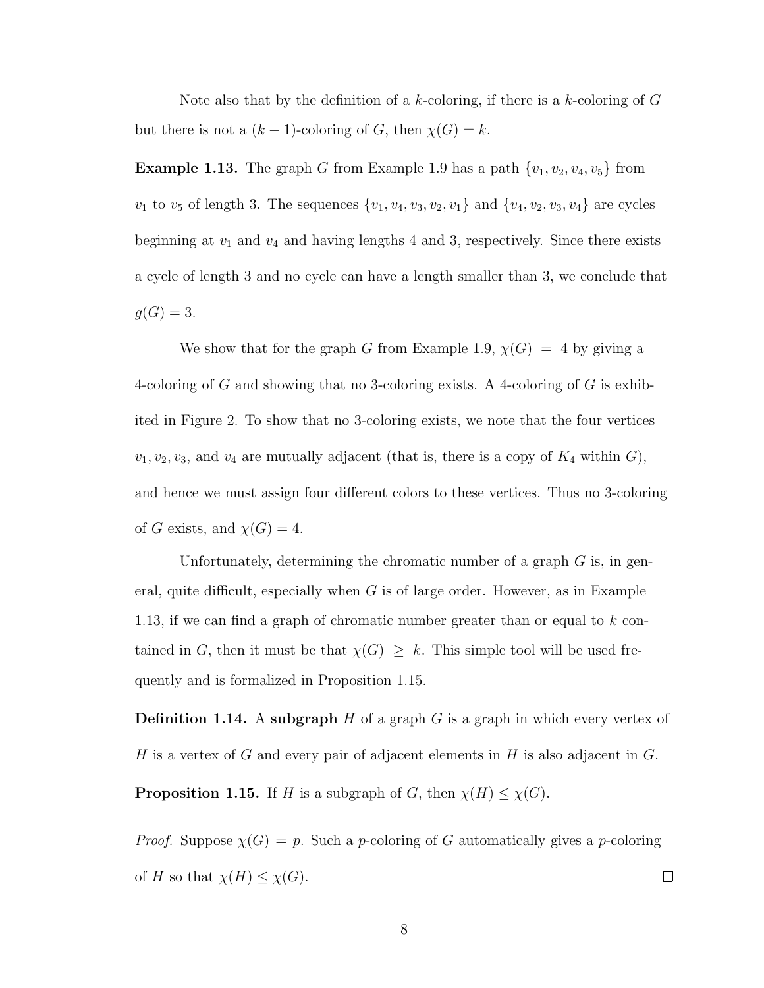Note also that by the definition of a k-coloring, if there is a k-coloring of  $G$ but there is not a  $(k-1)$ -coloring of G, then  $\chi(G) = k$ .

**Example 1.13.** The graph G from Example 1.9 has a path  $\{v_1, v_2, v_4, v_5\}$  from  $v_1$  to  $v_5$  of length 3. The sequences  $\{v_1, v_4, v_3, v_2, v_1\}$  and  $\{v_4, v_2, v_3, v_4\}$  are cycles beginning at  $v_1$  and  $v_4$  and having lengths 4 and 3, respectively. Since there exists a cycle of length 3 and no cycle can have a length smaller than 3, we conclude that  $g(G) = 3.$ 

We show that for the graph G from Example 1.9,  $\chi(G) = 4$  by giving a 4-coloring of G and showing that no 3-coloring exists. A 4-coloring of G is exhibited in Figure 2. To show that no 3-coloring exists, we note that the four vertices  $v_1, v_2, v_3$ , and  $v_4$  are mutually adjacent (that is, there is a copy of  $K_4$  within  $G$ ), and hence we must assign four diferent colors to these vertices. Thus no 3-coloring of G exists, and  $\chi(G) = 4$ .

Unfortunately, determining the chromatic number of a graph  $G$  is, in general, quite difficult, especially when  $G$  is of large order. However, as in Example 1.13, if we can fnd a graph of chromatic number greater than or equal to k contained in G, then it must be that  $\chi(G) \geq k$ . This simple tool will be used frequently and is formalized in Proposition 1.15.

**Definition 1.14.** A subgraph  $H$  of a graph  $G$  is a graph in which every vertex of H is a vertex of G and every pair of adjacent elements in H is also adjacent in  $G$ .

**Proposition 1.15.** If H is a subgraph of G, then  $\chi(H) \leq \chi(G)$ .

*Proof.* Suppose  $\chi(G) = p$ . Such a *p*-coloring of G automatically gives a *p*-coloring of H so that  $\chi(H) \leq \chi(G)$ .  $\Box$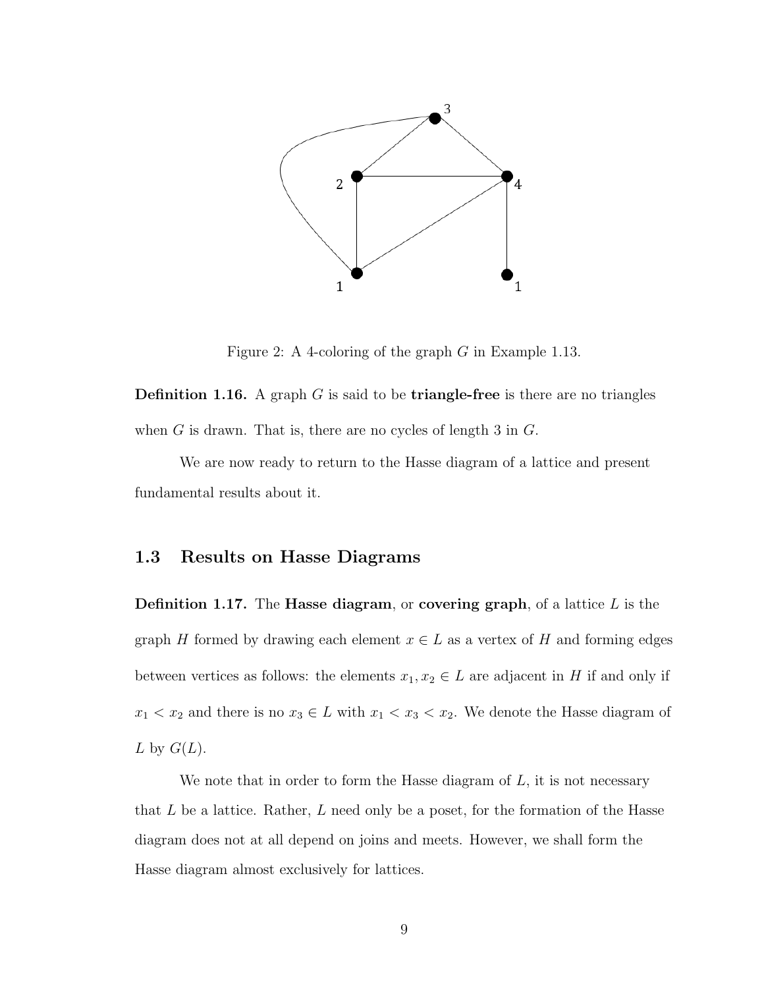

Figure 2: A 4-coloring of the graph G in Example 1.13.

**Definition 1.16.** A graph  $G$  is said to be **triangle-free** is there are no triangles when  $G$  is drawn. That is, there are no cycles of length 3 in  $G$ .

We are now ready to return to the Hasse diagram of a lattice and present fundamental results about it.

## <span id="page-16-0"></span>1.3 Results on Hasse Diagrams

**Definition 1.17.** The **Hasse diagram**, or **covering graph**, of a lattice  $L$  is the graph H formed by drawing each element  $x \in L$  as a vertex of H and forming edges between vertices as follows: the elements  $x_1, x_2 \in L$  are adjacent in H if and only if  $x_1 < x_2$  and there is no  $x_3 \in L$  with  $x_1 < x_3 < x_2$ . We denote the Hasse diagram of L by  $G(L)$ .

We note that in order to form the Hasse diagram of  $L$ , it is not necessary that  $L$  be a lattice. Rather,  $L$  need only be a poset, for the formation of the Hasse diagram does not at all depend on joins and meets. However, we shall form the Hasse diagram almost exclusively for lattices.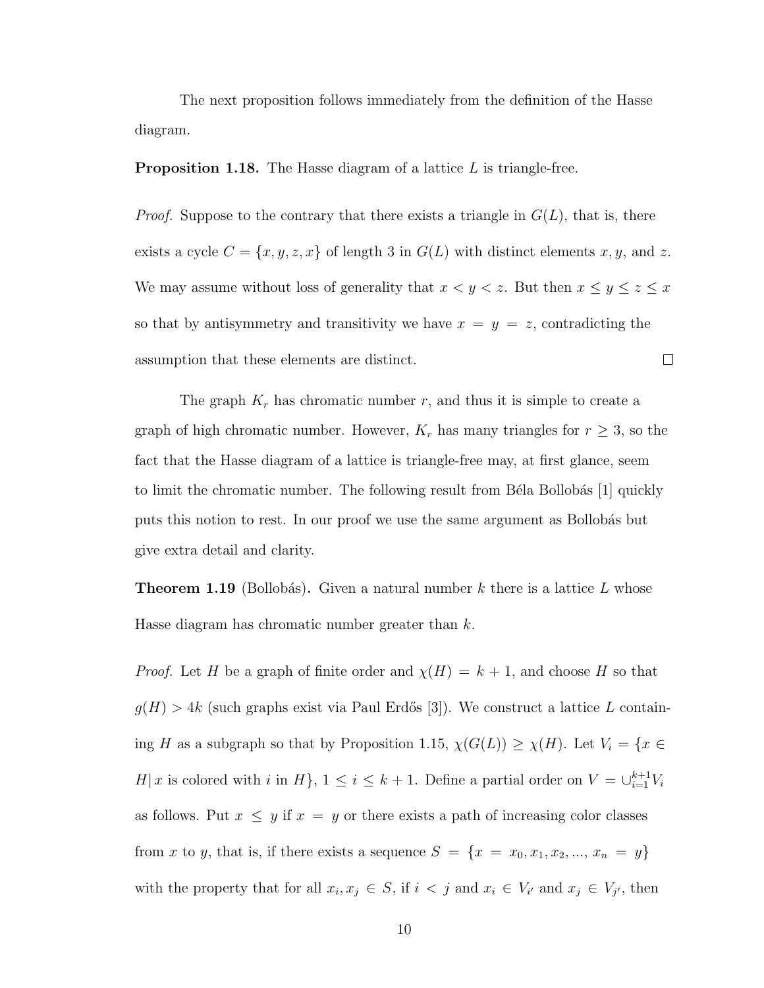The next proposition follows immediately from the defnition of the Hasse diagram.

**Proposition 1.18.** The Hasse diagram of a lattice  $L$  is triangle-free.

*Proof.* Suppose to the contrary that there exists a triangle in  $G(L)$ , that is, there exists a cycle  $C = \{x, y, z, x\}$  of length 3 in  $G(L)$  with distinct elements x, y, and z. We may assume without loss of generality that  $x < y < z$ . But then  $x \le y \le z \le x$ so that by antisymmetry and transitivity we have  $x = y = z$ , contradicting the  $\Box$ assumption that these elements are distinct.

The graph  $K_r$  has chromatic number r, and thus it is simple to create a graph of high chromatic number. However,  $K_r$  has many triangles for  $r \geq 3$ , so the fact that the Hasse diagram of a lattice is triangle-free may, at frst glance, seem to limit the chromatic number. The following result from Béla Bollobás [1] quickly puts this notion to rest. In our proof we use the same argument as Bollobás but give extra detail and clarity.

**Theorem 1.19** (Bollobás). Given a natural number k there is a lattice L whose Hasse diagram has chromatic number greater than  $k$ .

*Proof.* Let H be a graph of finite order and  $\chi(H) = k + 1$ , and choose H so that  $g(H) > 4k$  (such graphs exist via Paul Erdős [3]). We construct a lattice L containing H as a subgraph so that by Proposition 1.15,  $\chi(G(L)) \geq \chi(H)$ . Let  $V_i = \{x \in$ H| x is colored with i in H $\}$ ,  $1 \leq i \leq k+1$ . Define a partial order on  $V = \bigcup_{i=1}^{k+1} V_i$ as follows. Put  $x \leq y$  if  $x = y$  or there exists a path of increasing color classes from x to y, that is, if there exists a sequence  $S = \{x = x_0, x_1, x_2, ..., x_n = y\}$ with the property that for all  $x_i, x_j \in S$ , if  $i < j$  and  $x_i \in V_{i'}$  and  $x_j \in V_{j'}$ , then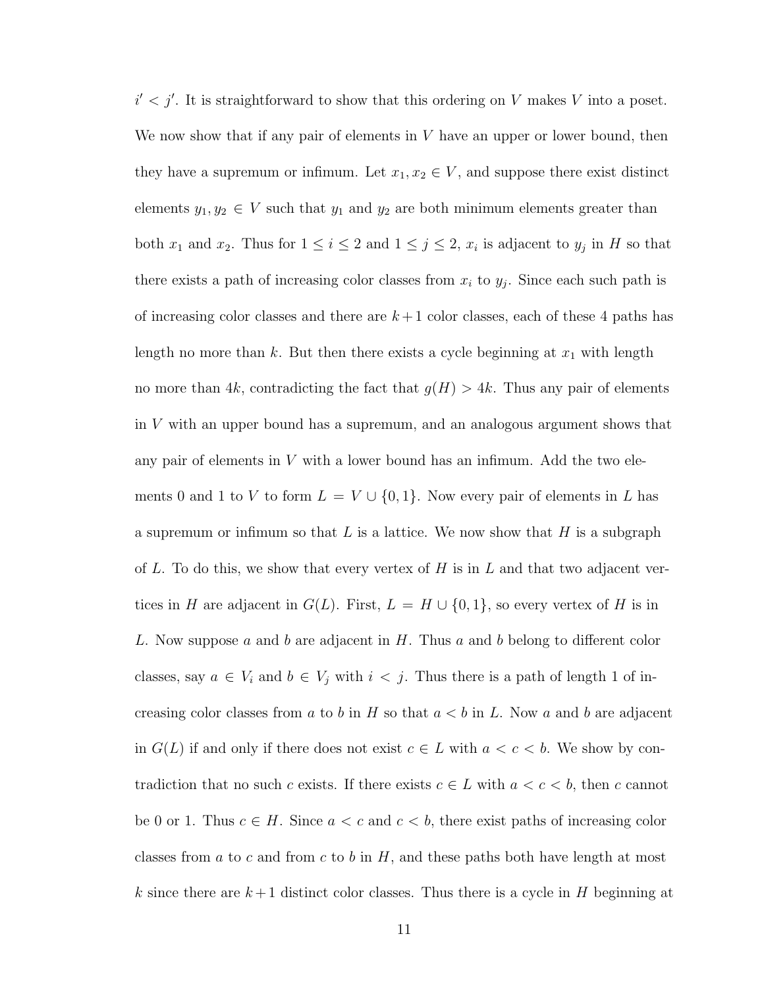$i' < j'$ . It is straightforward to show that this ordering on V makes V into a poset. We now show that if any pair of elements in  $V$  have an upper or lower bound, then they have a supremum or infimum. Let  $x_1, x_2 \in V$ , and suppose there exist distinct elements  $y_1, y_2 \in V$  such that  $y_1$  and  $y_2$  are both minimum elements greater than both  $x_1$  and  $x_2$ . Thus for  $1 \leq i \leq 2$  and  $1 \leq j \leq 2$ ,  $x_i$  is adjacent to  $y_j$  in H so that there exists a path of increasing color classes from  $x_i$  to  $y_j$ . Since each such path is of increasing color classes and there are  $k+1$  color classes, each of these 4 paths has length no more than k. But then there exists a cycle beginning at  $x_1$  with length no more than 4k, contradicting the fact that  $g(H) > 4k$ . Thus any pair of elements in V with an upper bound has a supremum, and an analogous argument shows that any pair of elements in  $V$  with a lower bound has an infimum. Add the two elements 0 and 1 to V to form  $L = V \cup \{0, 1\}$ . Now every pair of elements in L has a supremum or infimum so that L is a lattice. We now show that H is a subgraph of L. To do this, we show that every vertex of H is in L and that two adjacent vertices in H are adjacent in  $G(L)$ . First,  $L = H \cup \{0, 1\}$ , so every vertex of H is in L. Now suppose a and b are adjacent in  $H$ . Thus a and b belong to different color classes, say  $a \in V_i$  and  $b \in V_j$  with  $i < j$ . Thus there is a path of length 1 of increasing color classes from a to b in H so that  $a < b$  in L. Now a and b are adjacent in  $G(L)$  if and only if there does not exist  $c \in L$  with  $a < c < b$ . We show by contradiction that no such c exists. If there exists  $c \in L$  with  $a < c < b$ , then c cannot be 0 or 1. Thus  $c \in H$ . Since  $a < c$  and  $c < b$ , there exist paths of increasing color classes from a to c and from c to b in  $H$ , and these paths both have length at most k since there are  $k+1$  distinct color classes. Thus there is a cycle in H beginning at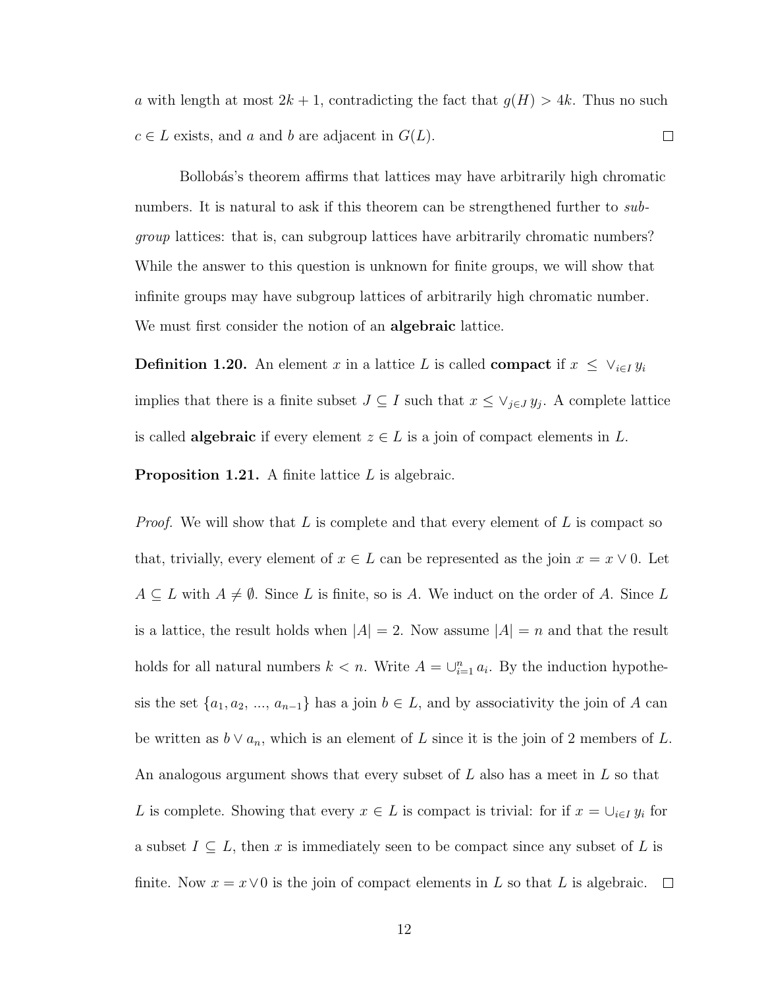a with length at most  $2k + 1$ , contradicting the fact that  $g(H) > 4k$ . Thus no such  $c \in L$  exists, and a and b are adjacent in  $G(L)$ .  $\Box$ 

Bollobás's theorem affirms that lattices may have arbitrarily high chromatic numbers. It is natural to ask if this theorem can be strengthened further to subgroup lattices: that is, can subgroup lattices have arbitrarily chromatic numbers? While the answer to this question is unknown for fnite groups, we will show that infnite groups may have subgroup lattices of arbitrarily high chromatic number. We must first consider the notion of an **algebraic** lattice.

**Definition 1.20.** An element x in a lattice L is called **compact** if  $x \leq \vee_{i \in I} y_i$ implies that there is a finite subset  $J \subseteq I$  such that  $x \leq \vee_{j \in J} y_j$ . A complete lattice is called **algebraic** if every element  $z \in L$  is a join of compact elements in L.

**Proposition 1.21.** A finite lattice  $L$  is algebraic.

*Proof.* We will show that L is complete and that every element of L is compact so that, trivially, every element of  $x \in L$  can be represented as the join  $x = x \vee 0$ . Let  $A \subseteq L$  with  $A \neq \emptyset$ . Since L is finite, so is A. We induct on the order of A. Since L is a lattice, the result holds when  $|A| = 2$ . Now assume  $|A| = n$  and that the result holds for all natural numbers  $k < n$ . Write  $A = \bigcup_{i=1}^n a_i$ . By the induction hypothesis the set  $\{a_1, a_2, ..., a_{n-1}\}$  has a join  $b \in L$ , and by associativity the join of A can be written as  $b \vee a_n$ , which is an element of L since it is the join of 2 members of L. An analogous argument shows that every subset of  $L$  also has a meet in  $L$  so that L is complete. Showing that every  $x \in L$  is compact is trivial: for if  $x = \bigcup_{i \in I} y_i$  for a subset  $I \subseteq L$ , then x is immediately seen to be compact since any subset of L is finite. Now  $x = x \vee 0$  is the join of compact elements in L so that L is algebraic.  $\Box$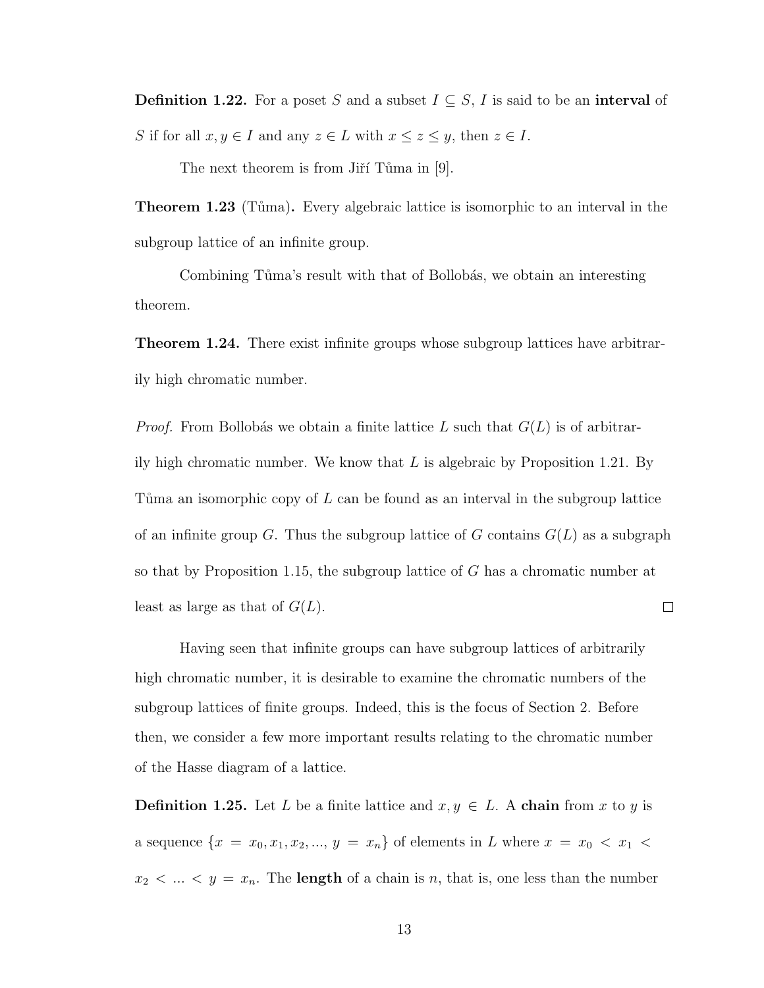**Definition 1.22.** For a poset S and a subset  $I \subseteq S$ , I is said to be an interval of S if for all  $x, y \in I$  and any  $z \in L$  with  $x \le z \le y$ , then  $z \in I$ .

The next theorem is from Jiří Tůma in  $[9]$ .

**Theorem 1.23** (Tůma). Every algebraic lattice is isomorphic to an interval in the subgroup lattice of an infnite group.

Combining Tuma's result with that of Bollobas, we obtain an interesting theorem.

Theorem 1.24. There exist infnite groups whose subgroup lattices have arbitrarily high chromatic number.

*Proof.* From Bollobás we obtain a finite lattice L such that  $G(L)$  is of arbitrarily high chromatic number. We know that  $L$  is algebraic by Proposition 1.21. By Tuma an isomorphic copy of  $L$  can be found as an interval in the subgroup lattice of an infinite group G. Thus the subgroup lattice of G contains  $G(L)$  as a subgraph so that by Proposition 1.15, the subgroup lattice of G has a chromatic number at least as large as that of  $G(L)$ .  $\Box$ 

Having seen that infnite groups can have subgroup lattices of arbitrarily high chromatic number, it is desirable to examine the chromatic numbers of the subgroup lattices of fnite groups. Indeed, this is the focus of Section 2. Before then, we consider a few more important results relating to the chromatic number of the Hasse diagram of a lattice.

**Definition 1.25.** Let L be a finite lattice and  $x, y \in L$ . A chain from x to y is a sequence  $\{x = x_0, x_1, x_2, ..., y = x_n\}$  of elements in L where  $x = x_0 < x_1$  $x_2 < \ldots < y = x_n$ . The **length** of a chain is n, that is, one less than the number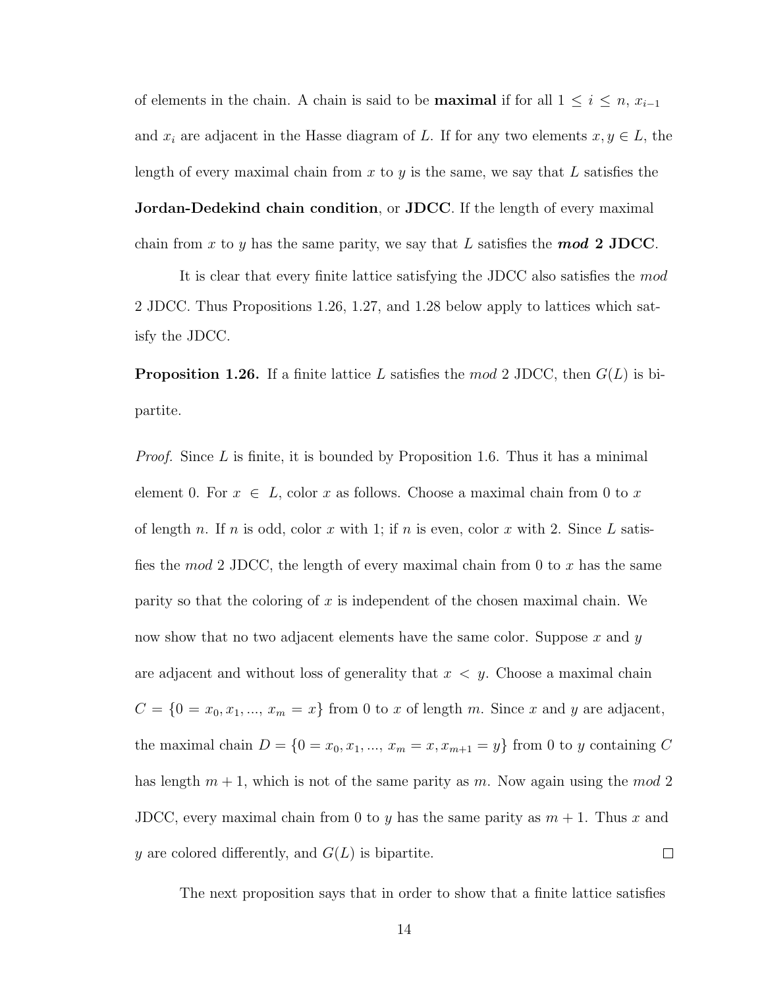of elements in the chain. A chain is said to be **maximal** if for all  $1 \leq i \leq n$ ,  $x_{i-1}$ and  $x_i$  are adjacent in the Hasse diagram of L. If for any two elements  $x, y \in L$ , the length of every maximal chain from  $x$  to  $y$  is the same, we say that  $L$  satisfies the **Jordan-Dedekind chain condition, or JDCC.** If the length of every maximal chain from x to y has the same parity, we say that L satisfies the **mod 2 JDCC**.

It is clear that every fnite lattice satisfying the JDCC also satisfes the mod 2 JDCC. Thus Propositions 1.26, 1.27, and 1.28 below apply to lattices which satisfy the JDCC.

**Proposition 1.26.** If a finite lattice L satisfies the mod 2 JDCC, then  $G(L)$  is bipartite.

*Proof.* Since L is finite, it is bounded by Proposition 1.6. Thus it has a minimal element 0. For  $x \in L$ , color x as follows. Choose a maximal chain from 0 to x of length n. If n is odd, color x with 1; if n is even, color x with 2. Since L satisfies the mod 2 JDCC, the length of every maximal chain from 0 to x has the same parity so that the coloring of x is independent of the chosen maximal chain. We now show that no two adjacent elements have the same color. Suppose  $x$  and  $y$ are adjacent and without loss of generality that  $x < y$ . Choose a maximal chain  $C = \{0 = x_0, x_1, ..., x_m = x\}$  from 0 to x of length m. Since x and y are adjacent, the maximal chain  $D = \{0 = x_0, x_1, ..., x_m = x, x_{m+1} = y\}$  from 0 to y containing C has length  $m + 1$ , which is not of the same parity as m. Now again using the mod 2 JDCC, every maximal chain from 0 to y has the same parity as  $m + 1$ . Thus x and y are colored differently, and  $G(L)$  is bipartite.  $\Box$ 

The next proposition says that in order to show that a fnite lattice satisfes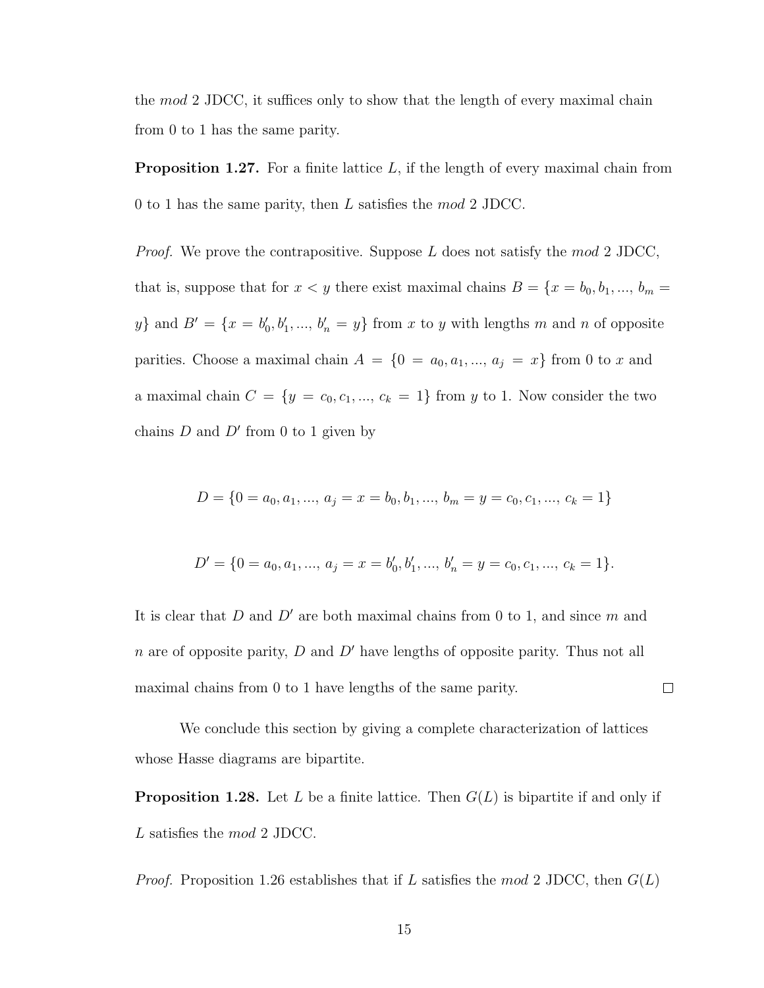the  $mod 2$  JDCC, it suffices only to show that the length of every maximal chain from 0 to 1 has the same parity.

**Proposition 1.27.** For a finite lattice  $L$ , if the length of every maximal chain from 0 to 1 has the same parity, then L satisfes the mod 2 JDCC.

*Proof.* We prove the contrapositive. Suppose  $L$  does not satisfy the mod 2 JDCC, that is, suppose that for  $x < y$  there exist maximal chains  $B = \{x = b_0, b_1, ..., b_m = 1\}$ y} and  $B' = \{x = b'_0, b'_1, ..., b'_n = y\}$  from x to y with lengths m and n of opposite parities. Choose a maximal chain  $A = \{0 = a_0, a_1, ..., a_j = x\}$  from 0 to x and a maximal chain  $C = \{y = c_0, c_1, ..., c_k = 1\}$  from y to 1. Now consider the two chains  $D$  and  $D'$  from 0 to 1 given by

$$
D = \{0 = a_0, a_1, \dots, a_j = x = b_0, b_1, \dots, b_m = y = c_0, c_1, \dots, c_k = 1\}
$$

$$
D' = \{0 = a_0, a_1, ..., a_j = x = b'_0, b'_1, ..., b'_n = y = c_0, c_1, ..., c_k = 1\}.
$$

It is clear that D and D' are both maximal chains from 0 to 1, and since  $m$  and n are of opposite parity,  $D$  and  $D'$  have lengths of opposite parity. Thus not all maximal chains from 0 to 1 have lengths of the same parity.

 $\Box$ 

We conclude this section by giving a complete characterization of lattices whose Hasse diagrams are bipartite.

**Proposition 1.28.** Let L be a finite lattice. Then  $G(L)$  is bipartite if and only if L satisfies the mod 2 JDCC.

*Proof.* Proposition 1.26 establishes that if L satisfies the mod 2 JDCC, then  $G(L)$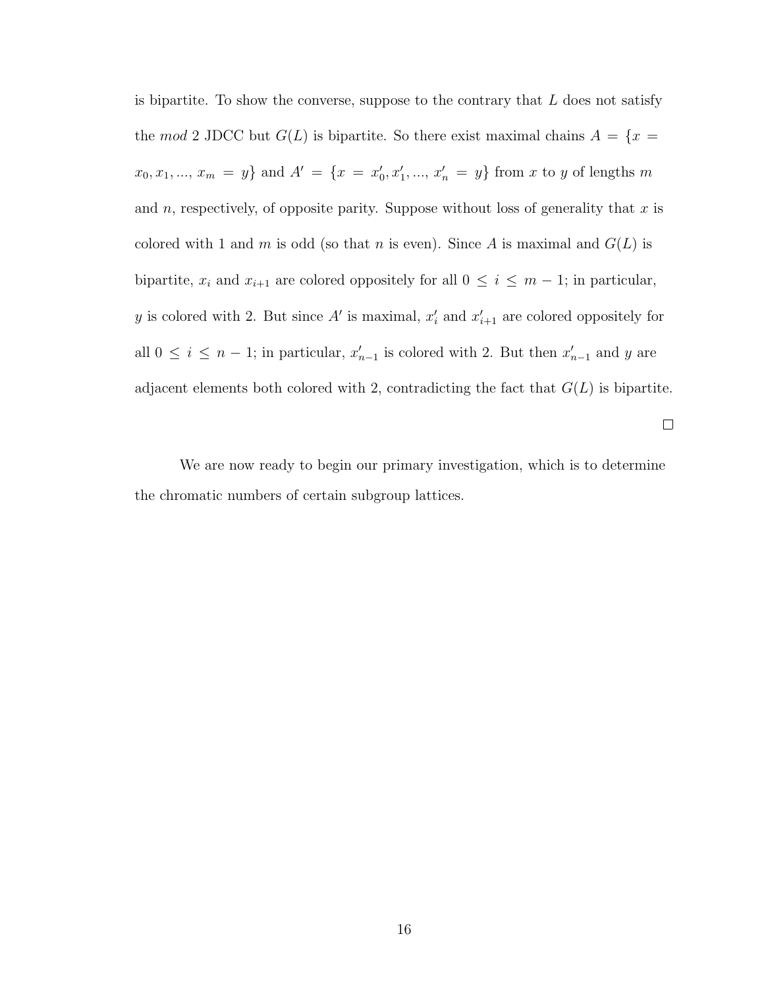is bipartite. To show the converse, suppose to the contrary that  $L$  does not satisfy the mod 2 JDCC but  $G(L)$  is bipartite. So there exist maximal chains  $A = \{x =$  $x_0, x_1, ..., x_m = y$  and  $A' = \{x = x'_0, x'_1, ..., x'_n = y\}$  from x to y of lengths m and n, respectively, of opposite parity. Suppose without loss of generality that x is colored with 1 and m is odd (so that n is even). Since A is maximal and  $G(L)$  is bipartite,  $x_i$  and  $x_{i+1}$  are colored oppositely for all  $0 \le i \le m-1$ ; in particular, y is colored with 2. But since A' is maximal,  $x'_i$  and  $x'_{i+1}$  are colored oppositely for all  $0 \leq i \leq n-1$ ; in particular,  $x'_{n-1}$  is colored with 2. But then  $x'_{n-1}$  and y are adjacent elements both colored with 2, contradicting the fact that  $G(L)$  is bipartite.

 $\Box$ 

We are now ready to begin our primary investigation, which is to determine the chromatic numbers of certain subgroup lattices.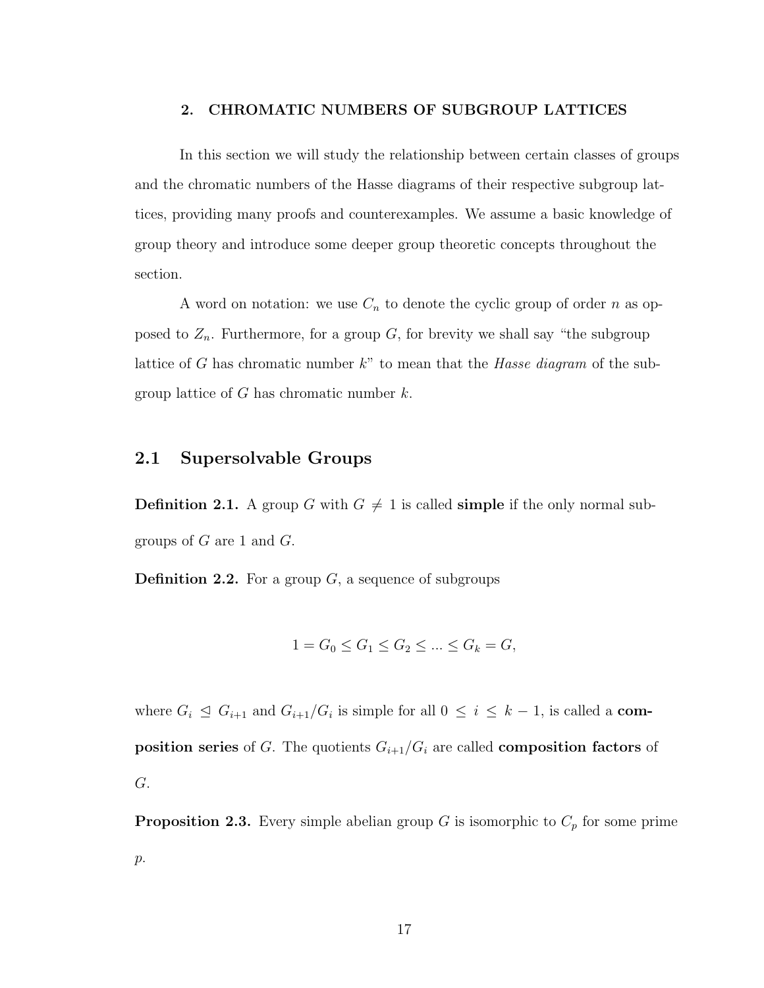#### <span id="page-24-0"></span>2. CHROMATIC NUMBERS OF SUBGROUP LATTICES

In this section we will study the relationship between certain classes of groups and the chromatic numbers of the Hasse diagrams of their respective subgroup lattices, providing many proofs and counterexamples. We assume a basic knowledge of group theory and introduce some deeper group theoretic concepts throughout the section.

A word on notation: we use  $C_n$  to denote the cyclic group of order n as opposed to  $Z_n$ . Furthermore, for a group G, for brevity we shall say "the subgroup lattice of G has chromatic number  $k$ " to mean that the Hasse diagram of the subgroup lattice of  $G$  has chromatic number  $k$ .

## <span id="page-24-1"></span>2.1 Supersolvable Groups

**Definition 2.1.** A group G with  $G \neq 1$  is called **simple** if the only normal subgroups of  $G$  are 1 and  $G$ .

**Definition 2.2.** For a group  $G$ , a sequence of subgroups

$$
1 = G_0 \le G_1 \le G_2 \le \dots \le G_k = G,
$$

where  $G_i \trianglelefteq G_{i+1}$  and  $G_{i+1}/G_i$  is simple for all  $0 \leq i \leq k-1$ , is called a **com**position series of G. The quotients  $G_{i+1}/G_i$  are called composition factors of G.

**Proposition 2.3.** Every simple abelian group G is isomorphic to  $C_p$  for some prime p.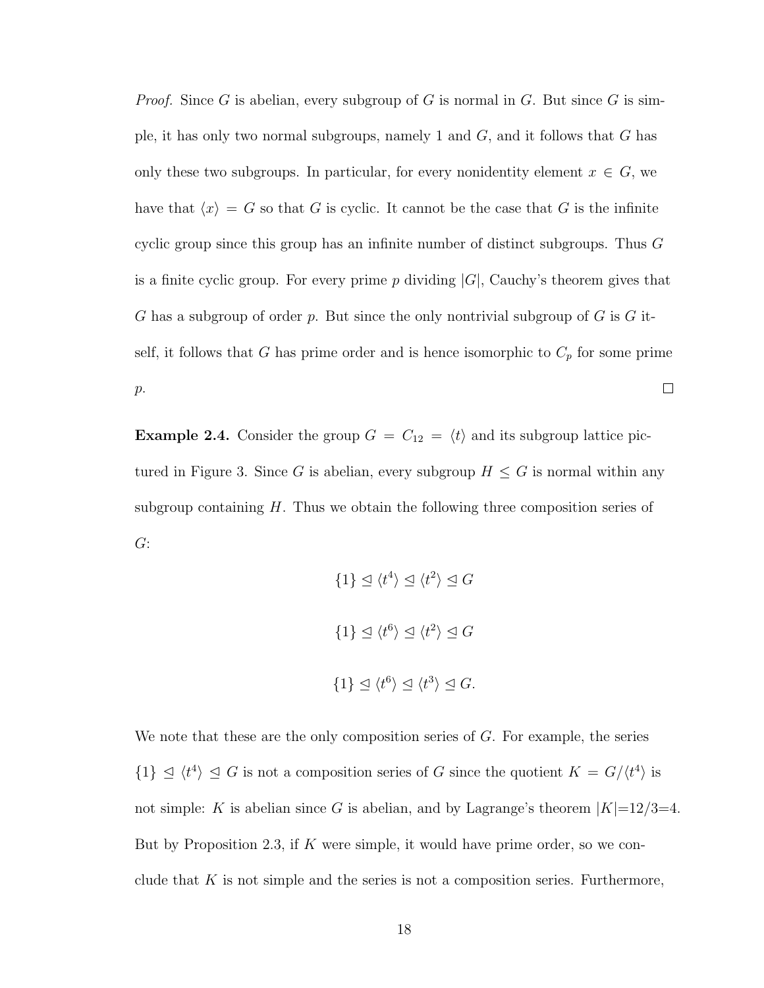*Proof.* Since G is abelian, every subgroup of G is normal in G. But since G is simple, it has only two normal subgroups, namely 1 and  $G$ , and it follows that  $G$  has only these two subgroups. In particular, for every nonidentity element  $x \in G$ , we have that  $\langle x \rangle = G$  so that G is cyclic. It cannot be the case that G is the infinite cyclic group since this group has an infnite number of distinct subgroups. Thus G is a finite cyclic group. For every prime  $p$  dividing  $|G|$ , Cauchy's theorem gives that G has a subgroup of order p. But since the only nontrivial subgroup of  $G$  is  $G$  itself, it follows that G has prime order and is hence isomorphic to  $C_p$  for some prime p.  $\Box$ 

**Example 2.4.** Consider the group  $G = C_{12} = \langle t \rangle$  and its subgroup lattice pictured in Figure 3. Since G is abelian, every subgroup  $H \leq G$  is normal within any subgroup containing  $H$ . Thus we obtain the following three composition series of G:

> $\{1\} \trianglelefteq \langle t^4 \rangle \trianglelefteq \langle t^2 \rangle \trianglelefteq G$  $\{1\} \trianglelefteq \langle t^6 \rangle \trianglelefteq \langle t^2 \rangle \trianglelefteq G$  $\{1\} \trianglelefteq \langle t^6 \rangle \trianglelefteq \langle t^3 \rangle \trianglelefteq G.$

We note that these are the only composition series of  $G$ . For example, the series  $\{1\} \subseteq \langle t^4 \rangle \subseteq G$  is not a composition series of G since the quotient  $K = G/\langle t^4 \rangle$  is not simple: K is abelian since G is abelian, and by Lagrange's theorem  $|K|=12/3=4$ . But by Proposition 2.3, if  $K$  were simple, it would have prime order, so we conclude that  $K$  is not simple and the series is not a composition series. Furthermore,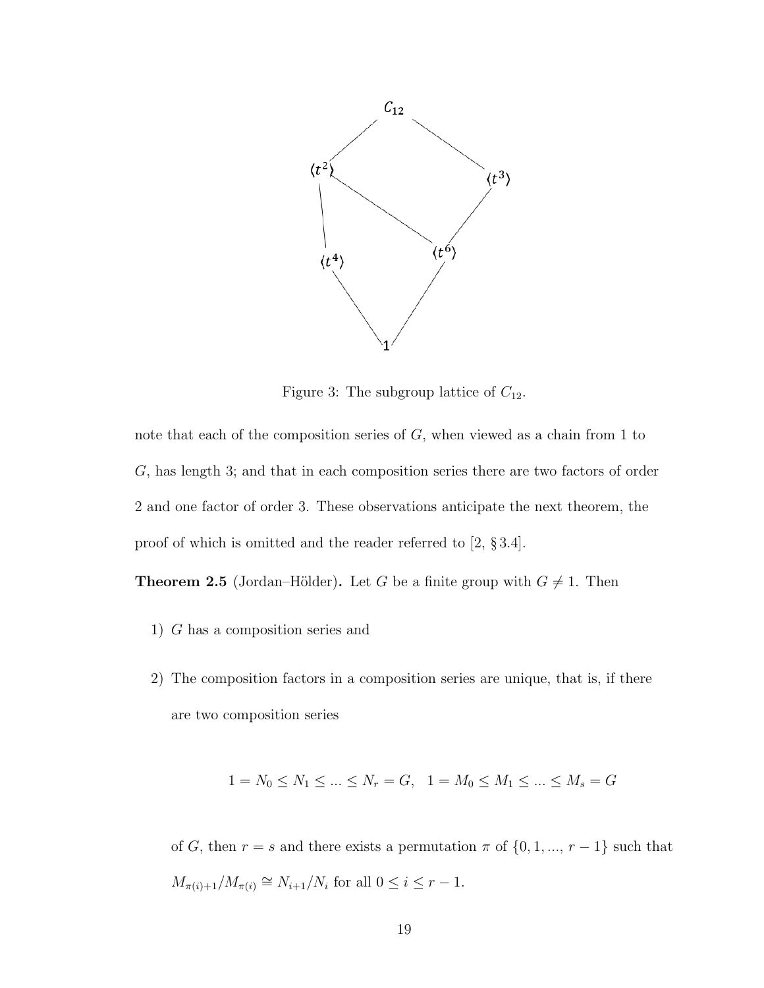

Figure 3: The subgroup lattice of  $C_{12}$ .

note that each of the composition series of G, when viewed as a chain from 1 to G, has length 3; and that in each composition series there are two factors of order 2 and one factor of order 3. These observations anticipate the next theorem, the proof of which is omitted and the reader referred to [2, § 3.4].

**Theorem 2.5** (Jordan–Hölder). Let G be a finite group with  $G \neq 1$ . Then

- 1) G has a composition series and
- 2) The composition factors in a composition series are unique, that is, if there are two composition series

$$
1 = N_0 \le N_1 \le \dots \le N_r = G, \quad 1 = M_0 \le M_1 \le \dots \le M_s = G
$$

of G, then  $r = s$  and there exists a permutation  $\pi$  of  $\{0, 1, ..., r - 1\}$  such that  $M_{\pi(i)+1}/M_{\pi(i)} \cong N_{i+1}/N_i$  for all  $0 \le i \le r-1$ .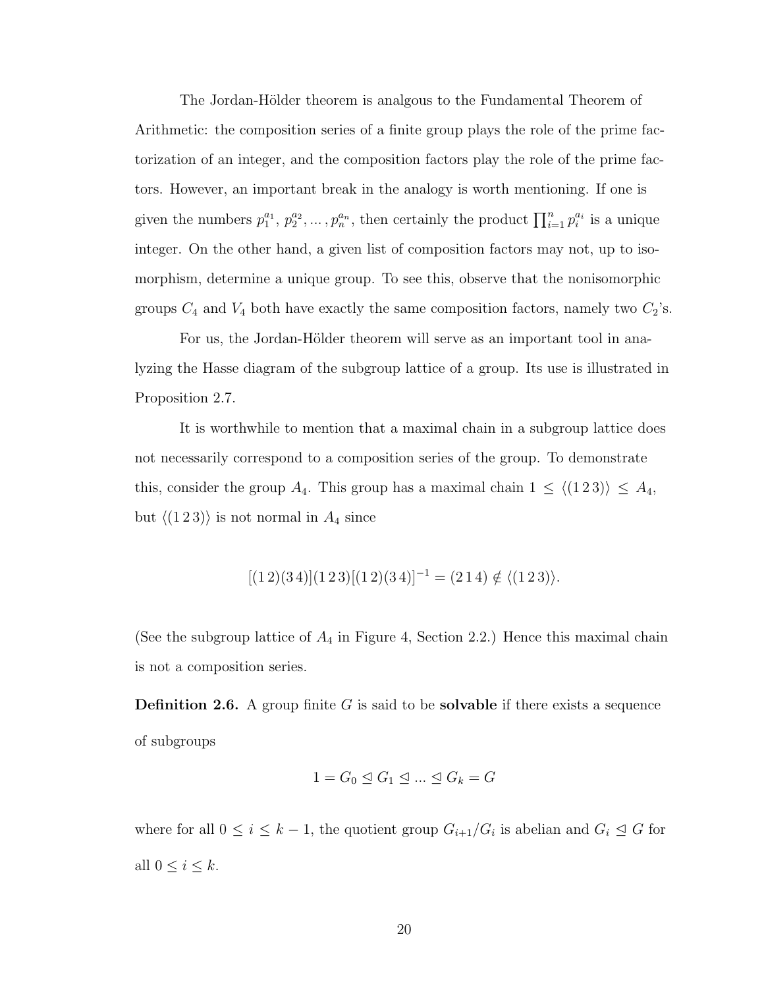The Jordan-Hölder theorem is analgous to the Fundamental Theorem of Arithmetic: the composition series of a fnite group plays the role of the prime factorization of an integer, and the composition factors play the role of the prime factors. However, an important break in the analogy is worth mentioning. If one is given the numbers  $p_1^{a_1}, p_2^{a_2}, \ldots, p_n^{a_n}$ , then certainly the product  $\prod_{i=1}^n p_i^{a_i}$  is a unique integer. On the other hand, a given list of composition factors may not, up to isomorphism, determine a unique group. To see this, observe that the nonisomorphic groups  $C_4$  and  $V_4$  both have exactly the same composition factors, namely two  $C_2$ 's.

For us, the Jordan-Hölder theorem will serve as an important tool in analyzing the Hasse diagram of the subgroup lattice of a group. Its use is illustrated in Proposition 2.7.

It is worthwhile to mention that a maximal chain in a subgroup lattice does not necessarily correspond to a composition series of the group. To demonstrate this, consider the group A<sub>4</sub>. This group has a maximal chain  $1 \le \langle (1\ 2\ 3) \rangle \le A_4$ , but  $\langle (1\,2\,3) \rangle$  is not normal in  $A_4$  since

$$
[(1\,2)(3\,4)](1\,2\,3)[(1\,2)(3\,4)]^{-1} = (2\,1\,4) \notin \langle (1\,2\,3) \rangle.
$$

(See the subgroup lattice of  $A_4$  in Figure 4, Section 2.2.) Hence this maximal chain is not a composition series.

**Definition 2.6.** A group finite  $G$  is said to be **solvable** if there exists a sequence of subgroups

$$
1 = G_0 \trianglelefteq G_1 \trianglelefteq \dots \trianglelefteq G_k = G
$$

where for all  $0 \leq i \leq k-1$ , the quotient group  $G_{i+1}/G_i$  is abelian and  $G_i \trianglelefteq G$  for all  $0 \leq i \leq k$ .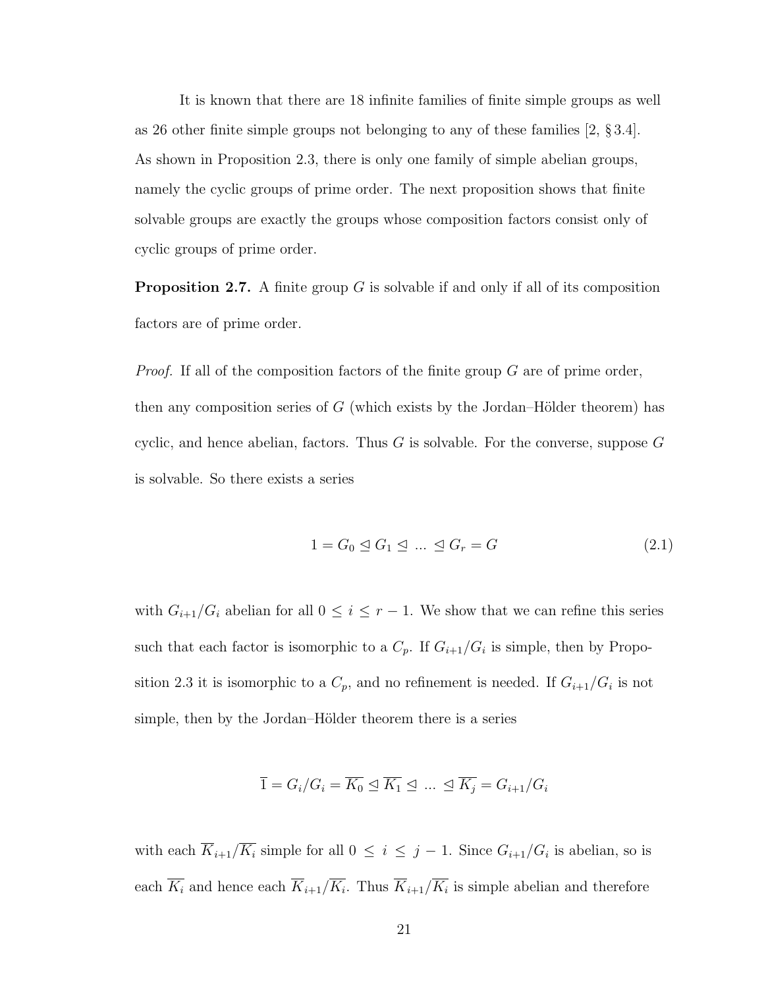It is known that there are 18 infnite families of fnite simple groups as well as 26 other finite simple groups not belonging to any of these families  $[2, §3.4]$ . As shown in Proposition 2.3, there is only one family of simple abelian groups, namely the cyclic groups of prime order. The next proposition shows that fnite solvable groups are exactly the groups whose composition factors consist only of cyclic groups of prime order.

**Proposition 2.7.** A finite group  $G$  is solvable if and only if all of its composition factors are of prime order.

*Proof.* If all of the composition factors of the finite group  $G$  are of prime order, then any composition series of  $G$  (which exists by the Jordan–Hölder theorem) has cyclic, and hence abelian, factors. Thus  $G$  is solvable. For the converse, suppose  $G$ is solvable. So there exists a series

$$
1 = G_0 \trianglelefteq G_1 \trianglelefteq \dots \trianglelefteq G_r = G \tag{2.1}
$$

with  $G_{i+1}/G_i$  abelian for all  $0 \leq i \leq r-1$ . We show that we can refine this series such that each factor is isomorphic to a  $C_p$ . If  $G_{i+1}/G_i$  is simple, then by Proposition 2.3 it is isomorphic to a  $C_p$ , and no refinement is needed. If  $G_{i+1}/G_i$  is not simple, then by the Jordan–Hölder theorem there is a series

$$
\overline{1} = G_i/G_i = \overline{K_0} \trianglelefteq \overline{K_1} \trianglelefteq \dots \trianglelefteq \overline{K_j} = G_{i+1}/G_i
$$

with each  $K_{i+1}/K_i$  simple for all  $0 \leq i \leq j-1$ . Since  $G_{i+1}/G_i$  is abelian, so is each  $K_i$  and hence each  $K_{i+1}/K_i$ . Thus  $K_{i+1}/K_i$  is simple abelian and therefore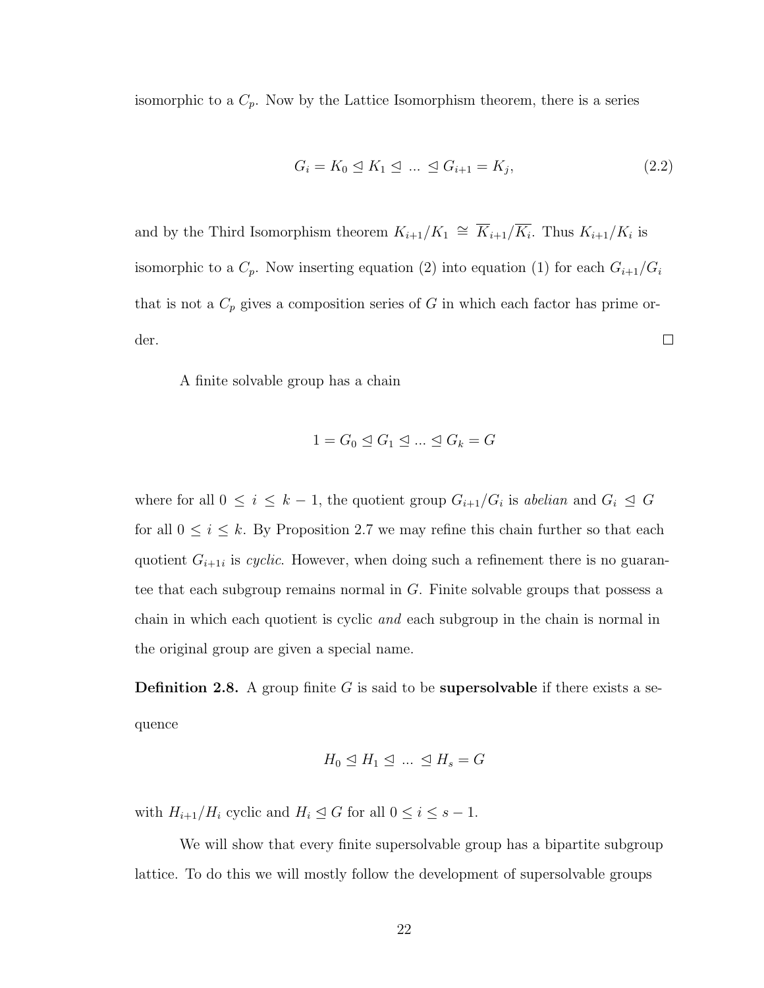isomorphic to a  $C_p$ . Now by the Lattice Isomorphism theorem, there is a series

$$
G_i = K_0 \leq K_1 \leq \dots \leq G_{i+1} = K_j,\tag{2.2}
$$

and by the Third Isomorphism theorem  $K_{i+1}/K_1 \cong \overline{K}_{i+1}/\overline{K_i}$ . Thus  $K_{i+1}/K_i$  is isomorphic to a  $C_p$ . Now inserting equation (2) into equation (1) for each  $G_{i+1}/G_i$ that is not a  $C_p$  gives a composition series of G in which each factor has prime order.  $\Box$ 

A fnite solvable group has a chain

$$
1 = G_0 \trianglelefteq G_1 \trianglelefteq \dots \trianglelefteq G_k = G
$$

where for all  $0 \leq i \leq k-1$ , the quotient group  $G_{i+1}/G_i$  is abelian and  $G_i \trianglelefteq G$ for all  $0 \leq i \leq k$ . By Proposition 2.7 we may refine this chain further so that each quotient  $G_{i+1i}$  is cyclic. However, when doing such a refinement there is no guarantee that each subgroup remains normal in  $G$ . Finite solvable groups that possess a chain in which each quotient is cyclic and each subgroup in the chain is normal in the original group are given a special name.

**Definition 2.8.** A group finite  $G$  is said to be **supersolvable** if there exists a sequence

$$
H_0 \trianglelefteq H_1 \trianglelefteq \dots \trianglelefteq H_s = G
$$

with  $H_{i+1}/H_i$  cyclic and  $H_i \leq G$  for all  $0 \leq i \leq s-1$ .

We will show that every fnite supersolvable group has a bipartite subgroup lattice. To do this we will mostly follow the development of supersolvable groups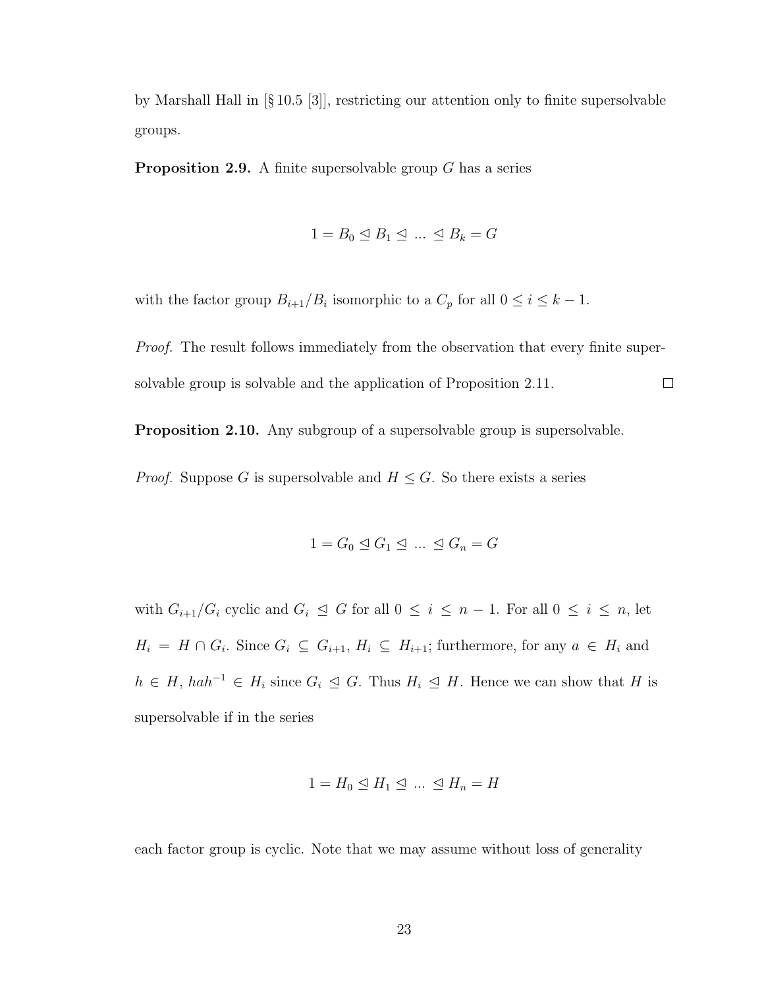by Marshall Hall in [§ 10.5 [3]], restricting our attention only to fnite supersolvable groups.

**Proposition 2.9.** A finite supersolvable group  $G$  has a series

$$
1 = B_0 \trianglelefteq B_1 \trianglelefteq \dots \trianglelefteq B_k = G
$$

with the factor group  $B_{i+1}/B_i$  isomorphic to a  $C_p$  for all  $0 \leq i \leq k-1$ .

Proof. The result follows immediately from the observation that every finite supersolvable group is solvable and the application of Proposition 2.11.  $\Box$ 

Proposition 2.10. Any subgroup of a supersolvable group is supersolvable.

*Proof.* Suppose G is supersolvable and  $H \leq G$ . So there exists a series

$$
1 = G_0 \trianglelefteq G_1 \trianglelefteq \dots \trianglelefteq G_n = G
$$

with  $G_{i+1}/G_i$  cyclic and  $G_i \trianglelefteq G$  for all  $0 \leq i \leq n-1$ . For all  $0 \leq i \leq n$ , let  $H_i = H \cap G_i$ . Since  $G_i \subseteq G_{i+1}, H_i \subseteq H_{i+1}$ ; furthermore, for any  $a \in H_i$  and  $h \in H$ ,  $hah^{-1} \in H_i$  since  $G_i \subseteq G$ . Thus  $H_i \subseteq H$ . Hence we can show that H is supersolvable if in the series

$$
1 = H_0 \trianglelefteq H_1 \trianglelefteq \dots \trianglelefteq H_n = H
$$

each factor group is cyclic. Note that we may assume without loss of generality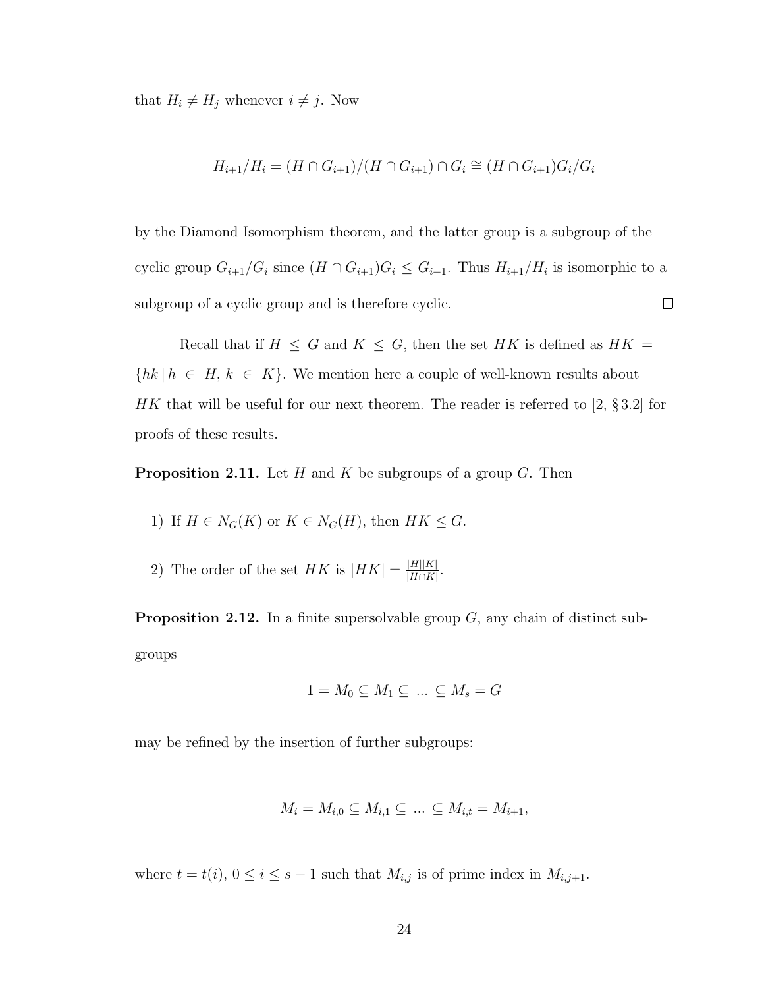that  $H_i \neq H_j$  whenever  $i \neq j$ . Now

$$
H_{i+1}/H_i = (H \cap G_{i+1})/(H \cap G_{i+1}) \cap G_i \cong (H \cap G_{i+1})G_i/G_i
$$

by the Diamond Isomorphism theorem, and the latter group is a subgroup of the cyclic group  $G_{i+1}/G_i$  since  $(H \cap G_{i+1})G_i \leq G_{i+1}$ . Thus  $H_{i+1}/H_i$  is isomorphic to a subgroup of a cyclic group and is therefore cyclic.  $\Box$ 

Recall that if  $H \leq G$  and  $K \leq G$ , then the set HK is defined as  $HK =$  $\{hk \mid h \in H, k \in K\}.$  We mention here a couple of well-known results about HK that will be useful for our next theorem. The reader is referred to [2,  $\S 3.2$ ] for proofs of these results.

**Proposition 2.11.** Let H and K be subgroups of a group G. Then

1) If 
$$
H \in N_G(K)
$$
 or  $K \in N_G(H)$ , then  $HK \leq G$ .

2) The order of the set HK is  $|HK| = \frac{|H||K|}{|H\cap K|}$  $\frac{|H||K|}{|H\cap K|}$ .

**Proposition 2.12.** In a finite supersolvable group  $G$ , any chain of distinct subgroups

$$
1 = M_0 \subseteq M_1 \subseteq \dots \subseteq M_s = G
$$

may be refned by the insertion of further subgroups:

$$
M_i = M_{i,0} \subseteq M_{i,1} \subseteq \dots \subseteq M_{i,t} = M_{i+1},
$$

where  $t = t(i)$ ,  $0 \le i \le s - 1$  such that  $M_{i,j}$  is of prime index in  $M_{i,j+1}$ .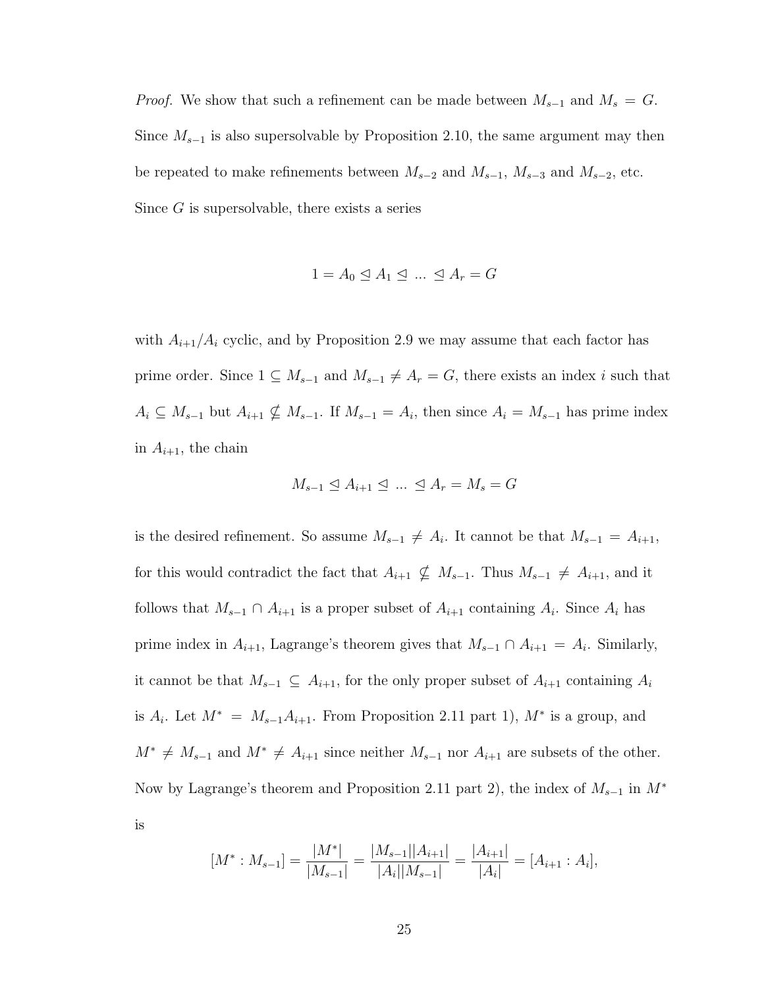*Proof.* We show that such a refinement can be made between  $M_{s-1}$  and  $M_s = G$ . Since  $M_{s-1}$  is also supersolvable by Proposition 2.10, the same argument may then be repeated to make refinements between  $M_{s-2}$  and  $M_{s-1}$ ,  $M_{s-3}$  and  $M_{s-2}$ , etc. Since  $G$  is supersolvable, there exists a series

$$
1 = A_0 \trianglelefteq A_1 \trianglelefteq \dots \trianglelefteq A_r = G
$$

with  $A_{i+1}/A_i$  cyclic, and by Proposition 2.9 we may assume that each factor has prime order. Since  $1 \subseteq M_{s-1}$  and  $M_{s-1} \neq A_r = G$ , there exists an index i such that  $A_i \subseteq M_{s-1}$  but  $A_{i+1} \nsubseteq M_{s-1}$ . If  $M_{s-1} = A_i$ , then since  $A_i = M_{s-1}$  has prime index in  $A_{i+1}$ , the chain

$$
M_{s-1} \trianglelefteq A_{i+1} \trianglelefteq \dots \trianglelefteq A_r = M_s = G
$$

is the desired refinement. So assume  $M_{s-1} \neq A_i$ . It cannot be that  $M_{s-1} = A_{i+1}$ , for this would contradict the fact that  $A_{i+1} \nsubseteq M_{s-1}$ . Thus  $M_{s-1} \neq A_{i+1}$ , and it follows that  $M_{s-1} \cap A_{i+1}$  is a proper subset of  $A_{i+1}$  containing  $A_i$ . Since  $A_i$  has prime index in  $A_{i+1}$ , Lagrange's theorem gives that  $M_{s-1} \cap A_{i+1} = A_i$ . Similarly, it cannot be that  $M_{s-1} \subseteq A_{i+1}$ , for the only proper subset of  $A_{i+1}$  containing  $A_i$ is  $A_i$ . Let  $M^* = M_{s-1}A_{i+1}$ . From Proposition 2.11 part 1),  $M^*$  is a group, and  $M^* \neq M_{s-1}$  and  $M^* \neq A_{i+1}$  since neither  $M_{s-1}$  nor  $A_{i+1}$  are subsets of the other. Now by Lagrange's theorem and Proposition 2.11 part 2), the index of  $M_{s-1}$  in  $M^*$ is

$$
[M^* : M_{s-1}] = \frac{|M^*|}{|M_{s-1}|} = \frac{|M_{s-1}||A_{i+1}|}{|A_i||M_{s-1}|} = \frac{|A_{i+1}|}{|A_i|} = [A_{i+1} : A_i],
$$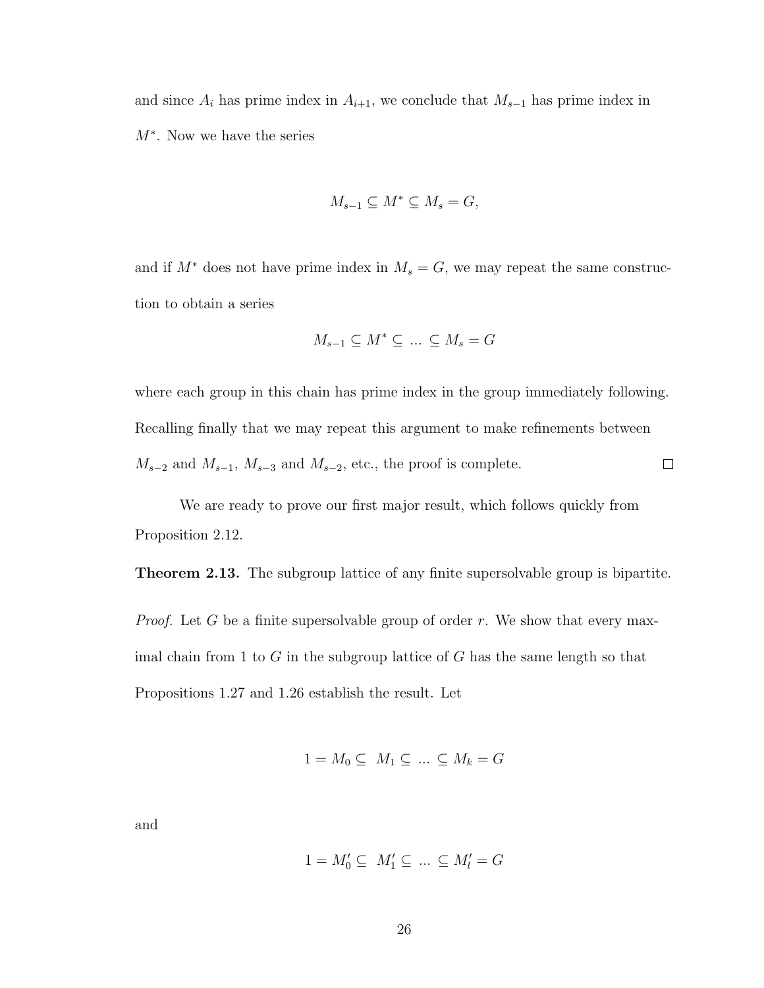and since  $A_i$  has prime index in  $A_{i+1}$ , we conclude that  $M_{s-1}$  has prime index in M<sup>∗</sup> . Now we have the series

$$
M_{s-1} \subseteq M^* \subseteq M_s = G,
$$

and if  $M^*$  does not have prime index in  $M_s = G$ , we may repeat the same construction to obtain a series

$$
M_{s-1}\subseteq M^*\subseteq\;\ldots\;\subseteq M_s=G
$$

where each group in this chain has prime index in the group immediately following. Recalling fnally that we may repeat this argument to make refnements between  $M_{s-2}$  and  $M_{s-1}$ ,  $M_{s-3}$  and  $M_{s-2}$ , etc., the proof is complete.  $\Box$ 

We are ready to prove our frst major result, which follows quickly from Proposition 2.12.

**Theorem 2.13.** The subgroup lattice of any finite supersolvable group is bipartite.

*Proof.* Let G be a finite supersolvable group of order r. We show that every maximal chain from 1 to  $G$  in the subgroup lattice of  $G$  has the same length so that Propositions 1.27 and 1.26 establish the result. Let

$$
1 = M_0 \subseteq M_1 \subseteq \dots \subseteq M_k = G
$$

and

$$
1 = M'_0 \subseteq M'_1 \subseteq \dots \subseteq M'_l = G
$$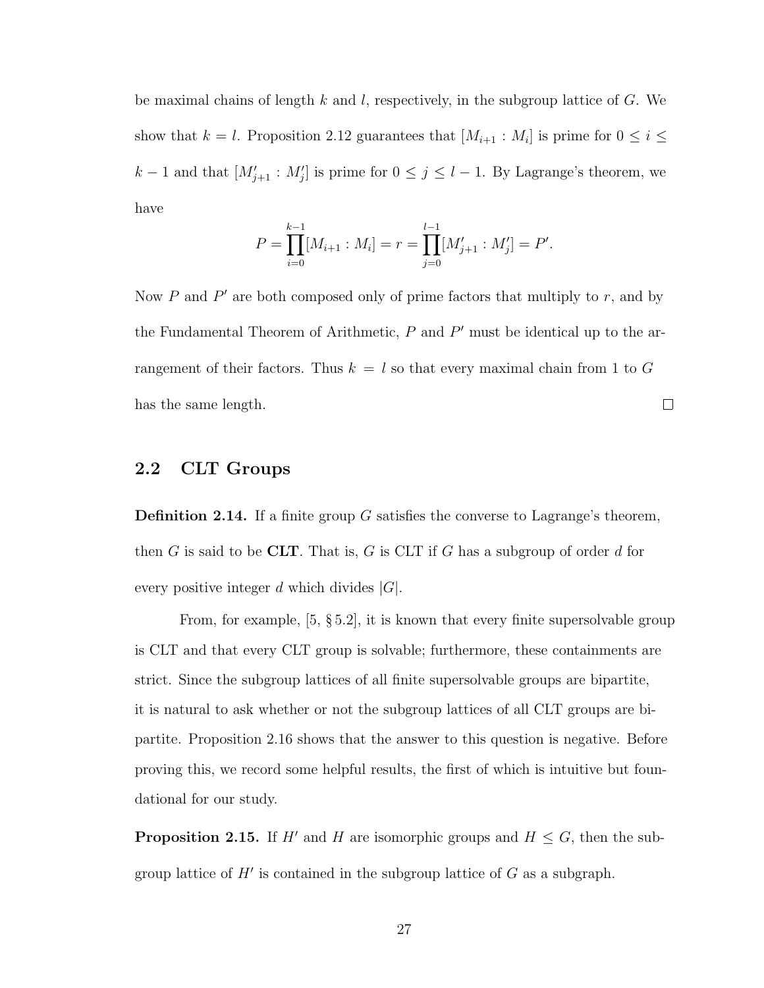be maximal chains of length k and l, respectively, in the subgroup lattice of G. We show that  $k = l$ . Proposition 2.12 guarantees that  $[M_{i+1} : M_i]$  is prime for  $0 \leq i \leq$  $k-1$  and that  $[M'_{j+1}: M'_{j}]$  is prime for  $0 \leq j \leq l-1$ . By Lagrange's theorem, we have

$$
P = \prod_{i=0}^{k-1} [M_{i+1} : M_i] = r = \prod_{j=0}^{l-1} [M'_{j+1} : M'_j] = P'.
$$

Now  $P$  and  $P'$  are both composed only of prime factors that multiply to  $r$ , and by the Fundamental Theorem of Arithmetic,  $P$  and  $P'$  must be identical up to the arrangement of their factors. Thus  $k = l$  so that every maximal chain from 1 to G has the same length.  $\Box$ 

# <span id="page-34-0"></span>2.2 CLT Groups

**Definition 2.14.** If a finite group G satisfies the converse to Lagrange's theorem, then G is said to be CLT. That is, G is CLT if G has a subgroup of order d for every positive integer d which divides  $|G|$ .

From, for example, [5, § 5.2], it is known that every fnite supersolvable group is CLT and that every CLT group is solvable; furthermore, these containments are strict. Since the subgroup lattices of all fnite supersolvable groups are bipartite, it is natural to ask whether or not the subgroup lattices of all CLT groups are bipartite. Proposition 2.16 shows that the answer to this question is negative. Before proving this, we record some helpful results, the frst of which is intuitive but foundational for our study.

**Proposition 2.15.** If H' and H are isomorphic groups and  $H \leq G$ , then the subgroup lattice of  $H'$  is contained in the subgroup lattice of  $G$  as a subgraph.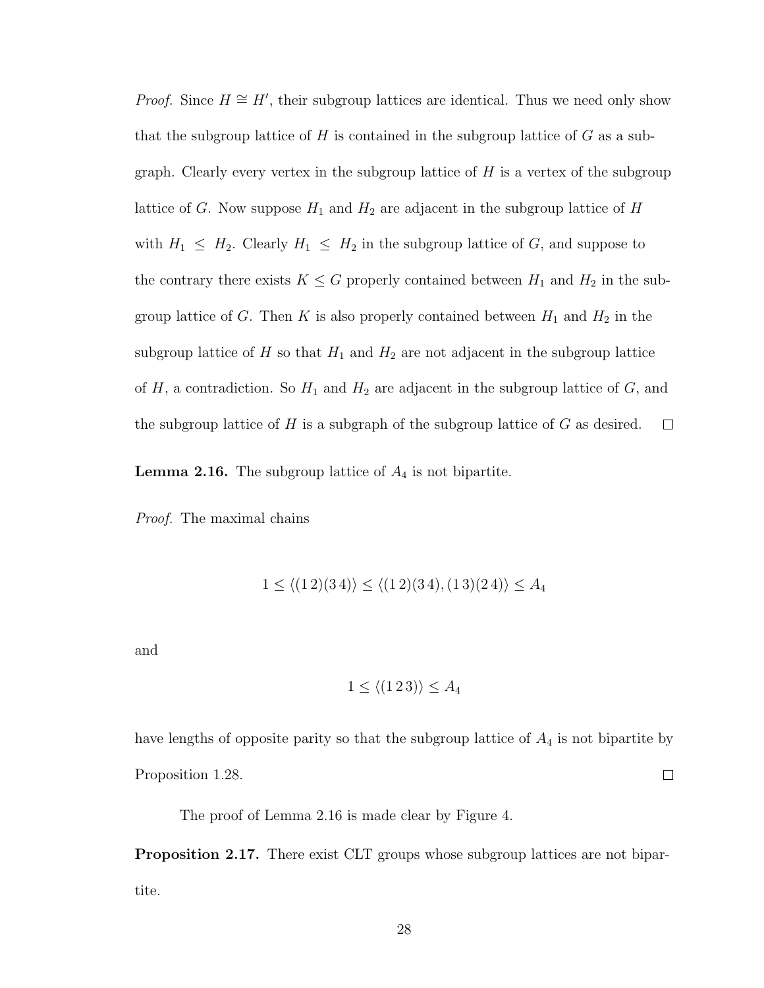*Proof.* Since  $H \cong H'$ , their subgroup lattices are identical. Thus we need only show that the subgroup lattice of  $H$  is contained in the subgroup lattice of  $G$  as a subgraph. Clearly every vertex in the subgroup lattice of  $H$  is a vertex of the subgroup lattice of G. Now suppose  $H_1$  and  $H_2$  are adjacent in the subgroup lattice of  $H$ with  $H_1 \leq H_2$ . Clearly  $H_1 \leq H_2$  in the subgroup lattice of G, and suppose to the contrary there exists  $K \leq G$  properly contained between  $H_1$  and  $H_2$  in the subgroup lattice of G. Then K is also properly contained between  $H_1$  and  $H_2$  in the subgroup lattice of  $H$  so that  $H_1$  and  $H_2$  are not adjacent in the subgroup lattice of  $H$ , a contradiction. So  $H_1$  and  $H_2$  are adjacent in the subgroup lattice of  $G$ , and the subgroup lattice of  $H$  is a subgraph of the subgroup lattice of  $G$  as desired.  $\Box$ 

**Lemma 2.16.** The subgroup lattice of  $A_4$  is not bipartite.

Proof. The maximal chains

$$
1 \le \langle (1\,2)(3\,4) \rangle \le \langle (1\,2)(3\,4), (1\,3)(2\,4) \rangle \le A_4
$$

and

$$
1 \le \langle (1\,2\,3) \rangle \le A_4
$$

have lengths of opposite parity so that the subgroup lattice of  $A_4$  is not bipartite by  $\Box$ Proposition 1.28.

The proof of Lemma 2.16 is made clear by Figure 4.

Proposition 2.17. There exist CLT groups whose subgroup lattices are not bipartite.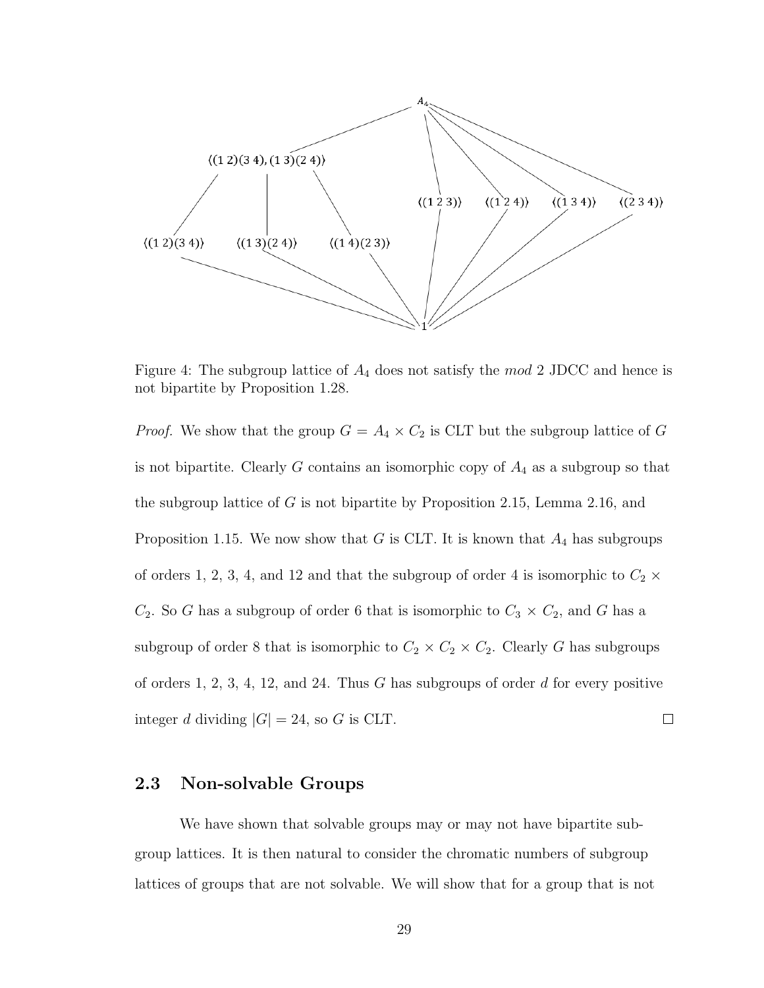

Figure 4: The subgroup lattice of  $A_4$  does not satisfy the  $mod 2$  JDCC and hence is not bipartite by Proposition 1.28.

*Proof.* We show that the group  $G = A_4 \times C_2$  is CLT but the subgroup lattice of G is not bipartite. Clearly G contains an isomorphic copy of  $A_4$  as a subgroup so that the subgroup lattice of G is not bipartite by Proposition 2.15, Lemma 2.16, and Proposition 1.15. We now show that G is CLT. It is known that  $A_4$  has subgroups of orders 1, 2, 3, 4, and 12 and that the subgroup of order 4 is isomorphic to  $C_2 \times$  $C_2$ . So G has a subgroup of order 6 that is isomorphic to  $C_3 \times C_2$ , and G has a subgroup of order 8 that is isomorphic to  $C_2 \times C_2 \times C_2$ . Clearly G has subgroups of orders 1, 2, 3, 4, 12, and 24. Thus  $G$  has subgroups of order  $d$  for every positive integer d dividing  $|G| = 24$ , so G is CLT.  $\Box$ 

## <span id="page-36-0"></span>2.3 Non-solvable Groups

We have shown that solvable groups may or may not have bipartite subgroup lattices. It is then natural to consider the chromatic numbers of subgroup lattices of groups that are not solvable. We will show that for a group that is not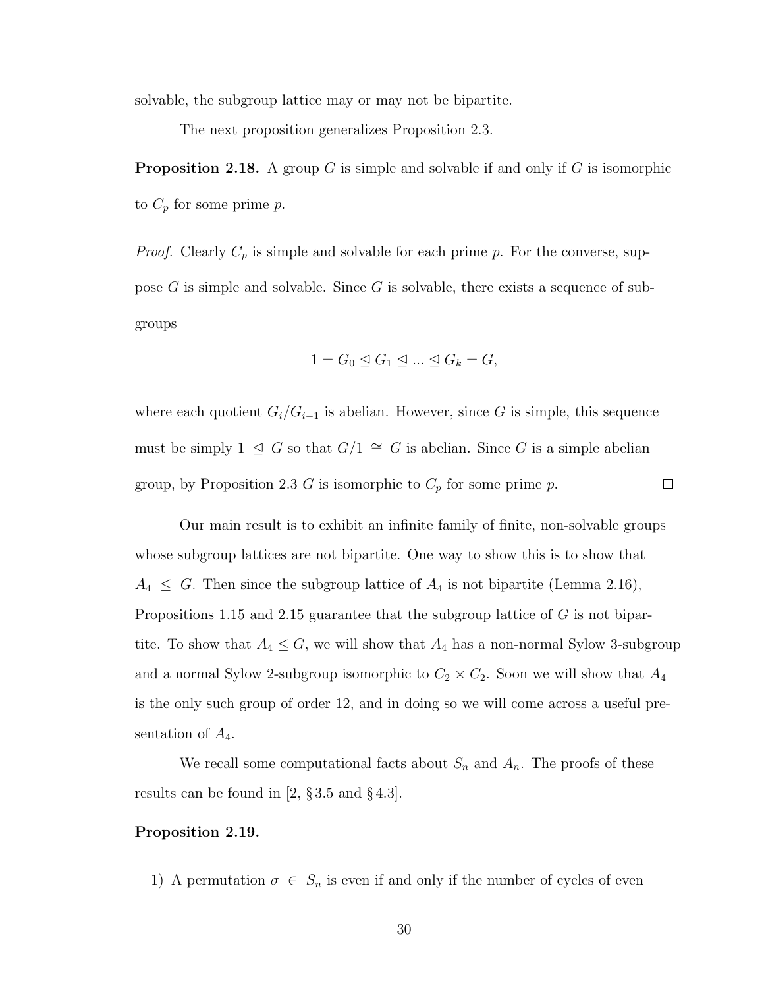solvable, the subgroup lattice may or may not be bipartite.

The next proposition generalizes Proposition 2.3.

**Proposition 2.18.** A group G is simple and solvable if and only if G is isomorphic to  $C_p$  for some prime  $p$ .

*Proof.* Clearly  $C_p$  is simple and solvable for each prime p. For the converse, suppose  $G$  is simple and solvable. Since  $G$  is solvable, there exists a sequence of subgroups

$$
1 = G_0 \trianglelefteq G_1 \trianglelefteq \dots \trianglelefteq G_k = G,
$$

where each quotient  $G_i/G_{i-1}$  is abelian. However, since G is simple, this sequence must be simply 1  $\leq G$  so that  $G/1 \cong G$  is abelian. Since G is a simple abelian group, by Proposition 2.3 G is isomorphic to  $C_p$  for some prime p.  $\Box$ 

Our main result is to exhibit an infnite family of fnite, non-solvable groups whose subgroup lattices are not bipartite. One way to show this is to show that  $A_4 \leq G$ . Then since the subgroup lattice of  $A_4$  is not bipartite (Lemma 2.16), Propositions 1.15 and 2.15 guarantee that the subgroup lattice of G is not bipartite. To show that  $A_4 \leq G$ , we will show that  $A_4$  has a non-normal Sylow 3-subgroup and a normal Sylow 2-subgroup isomorphic to  $C_2 \times C_2$ . Soon we will show that  $A_4$ is the only such group of order 12, and in doing so we will come across a useful presentation of  $A_4$ .

We recall some computational facts about  $S_n$  and  $A_n$ . The proofs of these results can be found in [2, § 3.5 and § 4.3].

#### Proposition 2.19.

1) A permutation  $\sigma \in S_n$  is even if and only if the number of cycles of even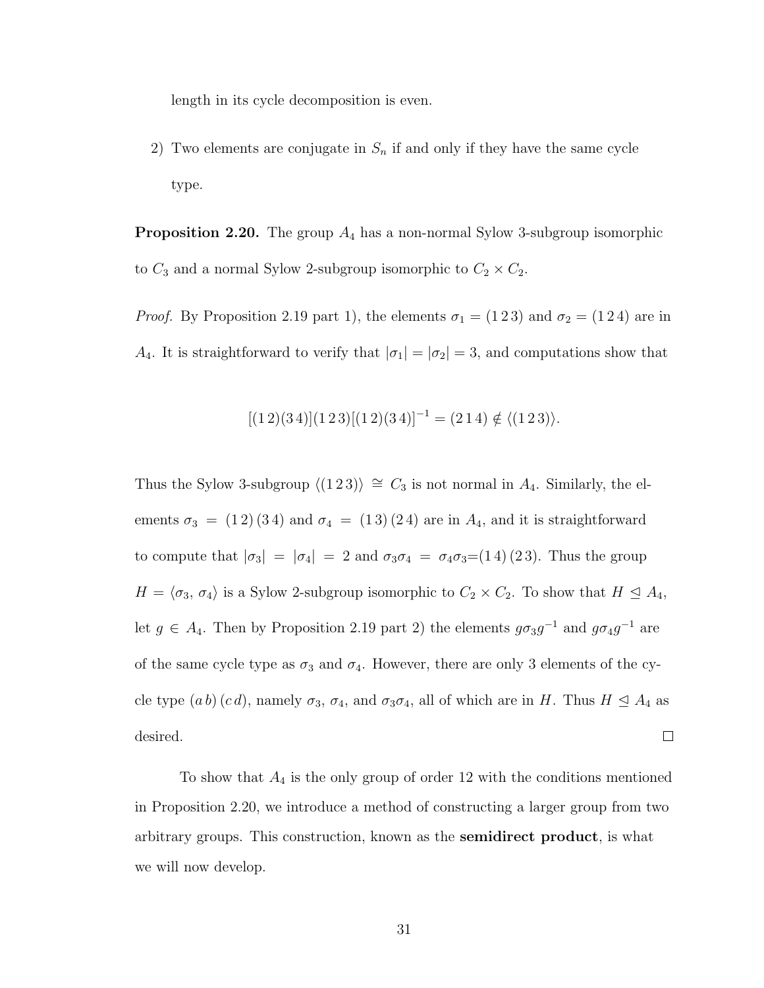length in its cycle decomposition is even.

2) Two elements are conjugate in  $S_n$  if and only if they have the same cycle type.

**Proposition 2.20.** The group  $A_4$  has a non-normal Sylow 3-subgroup isomorphic to  $C_3$  and a normal Sylow 2-subgroup isomorphic to  $C_2 \times C_2$ .

*Proof.* By Proposition 2.19 part 1), the elements  $\sigma_1 = (1\ 2\ 3)$  and  $\sigma_2 = (1\ 2\ 4)$  are in A<sub>4</sub>. It is straightforward to verify that  $|\sigma_1| = |\sigma_2| = 3$ , and computations show that

$$
[(1\,2)(3\,4)](1\,2\,3)[(1\,2)(3\,4)]^{-1} = (2\,1\,4) \notin \langle (1\,2\,3) \rangle.
$$

Thus the Sylow 3-subgroup  $\langle (1\ 2\ 3) \rangle \cong C_3$  is not normal in  $A_4$ . Similarly, the elements  $\sigma_3 = (1\,2)(3\,4)$  and  $\sigma_4 = (1\,3)(2\,4)$  are in  $A_4$ , and it is straightforward to compute that  $|\sigma_3| = |\sigma_4| = 2$  and  $\sigma_3 \sigma_4 = \sigma_4 \sigma_3 = (1\,4)(2\,3)$ . Thus the group  $H = \langle \sigma_3, \sigma_4 \rangle$  is a Sylow 2-subgroup isomorphic to  $C_2 \times C_2$ . To show that  $H \subseteq A_4$ , let  $g \in A_4$ . Then by Proposition 2.19 part 2) the elements  $g\sigma_3g^{-1}$  and  $g\sigma_4g^{-1}$  are of the same cycle type as  $\sigma_3$  and  $\sigma_4$ . However, there are only 3 elements of the cycle type  $(ab)$   $(cd)$ , namely  $\sigma_3$ ,  $\sigma_4$ , and  $\sigma_3\sigma_4$ , all of which are in H. Thus  $H \trianglelefteq A_4$  as  $\Box$ desired.

To show that  $A_4$  is the only group of order 12 with the conditions mentioned in Proposition 2.20, we introduce a method of constructing a larger group from two arbitrary groups. This construction, known as the semidirect product, is what we will now develop.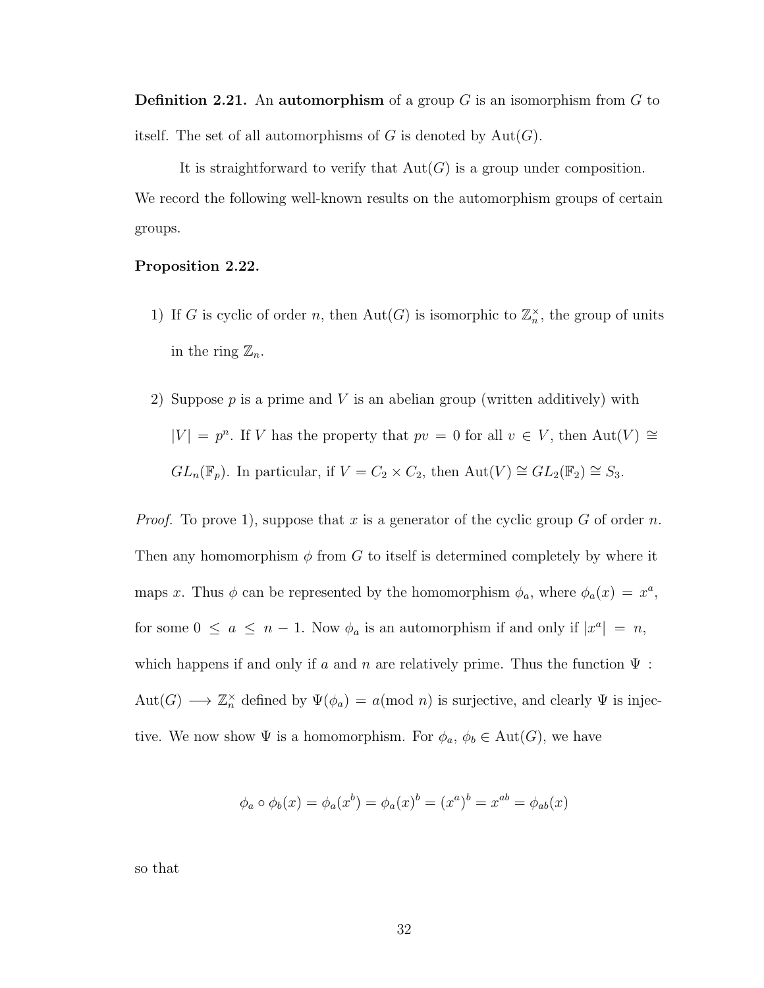**Definition 2.21.** An automorphism of a group  $G$  is an isomorphism from  $G$  to itself. The set of all automorphisms of G is denoted by  $Aut(G)$ .

It is straightforward to verify that  $Aut(G)$  is a group under composition. We record the following well-known results on the automorphism groups of certain groups.

#### Proposition 2.22.

- 1) If G is cyclic of order n, then  $Aut(G)$  is isomorphic to  $\mathbb{Z}_n^{\times}$ , the group of units in the ring  $\mathbb{Z}_n$ .
- 2) Suppose  $p$  is a prime and  $V$  is an abelian group (written additively) with  $|V| = p^n$ . If V has the property that  $pv = 0$  for all  $v \in V$ , then  $Aut(V) \cong$  $GL_n(\mathbb{F}_p)$ . In particular, if  $V = C_2 \times C_2$ , then  $Aut(V) \cong GL_2(\mathbb{F}_2) \cong S_3$ .

*Proof.* To prove 1), suppose that x is a generator of the cyclic group G of order n. Then any homomorphism  $\phi$  from G to itself is determined completely by where it maps x. Thus  $\phi$  can be represented by the homomorphism  $\phi_a$ , where  $\phi_a(x) = x^a$ , for some  $0 \le a \le n - 1$ . Now  $\phi_a$  is an automorphism if and only if  $|x^a| = n$ , which happens if and only if a and n are relatively prime. Thus the function  $\Psi$ : Aut(G)  $\longrightarrow \mathbb{Z}_n^{\times}$  defined by  $\Psi(\phi_a) = a \text{ (mod } n)$  is surjective, and clearly  $\Psi$  is injective. We now show  $\Psi$  is a homomorphism. For  $\phi_a$ ,  $\phi_b \in \text{Aut}(G)$ , we have

$$
\phi_a \circ \phi_b(x) = \phi_a(x^b) = \phi_a(x)^b = (x^a)^b = x^{ab} = \phi_{ab}(x)
$$

so that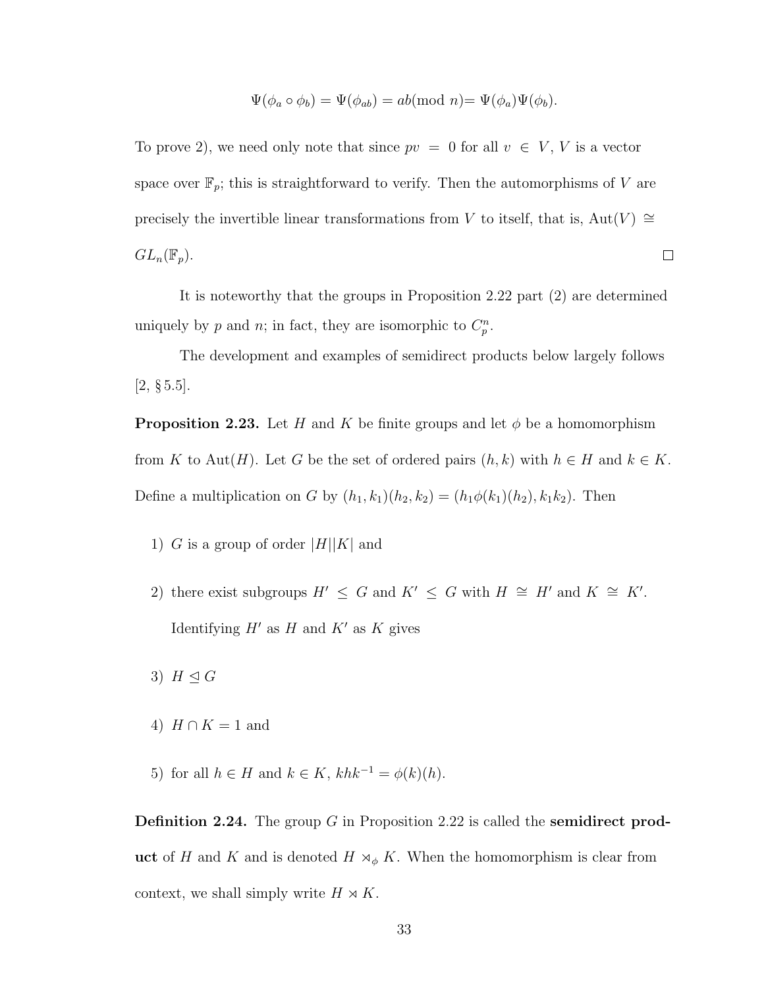$$
\Psi(\phi_a \circ \phi_b) = \Psi(\phi_{ab}) = ab \text{(mod } n) = \Psi(\phi_a) \Psi(\phi_b).
$$

To prove 2), we need only note that since  $pv = 0$  for all  $v \in V$ , V is a vector space over  $\mathbb{F}_p$ ; this is straightforward to verify. Then the automorphisms of V are precisely the invertible linear transformations from V to itself, that is, Aut(V)  $\cong$  $GL_n(\mathbb{F}_p).$  $\Box$ 

It is noteworthy that the groups in Proposition 2.22 part (2) are determined uniquely by p and n; in fact, they are isomorphic to  $C_p^n$ .

The development and examples of semidirect products below largely follows  $[2, \, \S 5.5]$ .

**Proposition 2.23.** Let H and K be finite groups and let  $\phi$  be a homomorphism from K to Aut(H). Let G be the set of ordered pairs  $(h, k)$  with  $h \in H$  and  $k \in K$ . Define a multiplication on G by  $(h_1, k_1)(h_2, k_2) = (h_1 \phi(k_1)(h_2), k_1 k_2)$ . Then

- 1) G is a group of order  $|H||K|$  and
- 2) there exist subgroups  $H' \leq G$  and  $K' \leq G$  with  $H \cong H'$  and  $K \cong K'$ . Identifying  $H'$  as  $H$  and  $K'$  as  $K$  gives
- 3)  $H \triangleleft G$
- 4)  $H \cap K = 1$  and
- 5) for all  $h \in H$  and  $k \in K$ ,  $khk^{-1} = \phi(k)(h)$ .

**Definition 2.24.** The group G in Proposition 2.22 is called the **semidirect prod**uct of H and K and is denoted  $H \rtimes_{\phi} K$ . When the homomorphism is clear from context, we shall simply write  $H \rtimes K$ .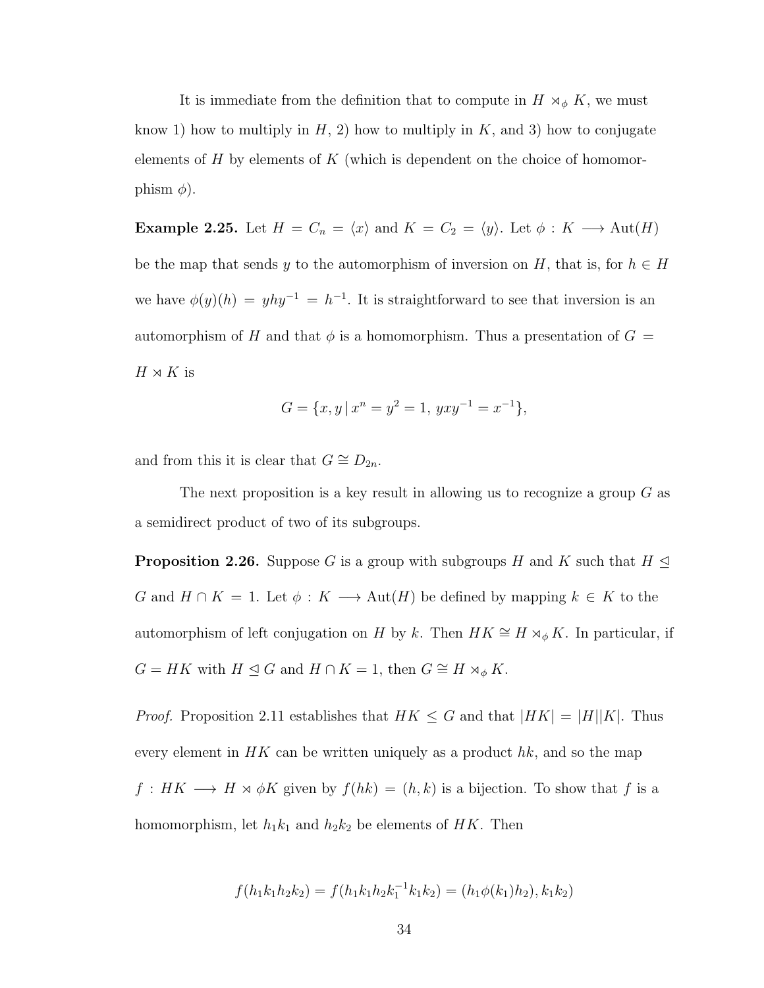It is immediate from the definition that to compute in  $H \rtimes_{\phi} K$ , we must know 1) how to multiply in  $H$ , 2) how to multiply in  $K$ , and 3) how to conjugate elements of  $H$  by elements of  $K$  (which is dependent on the choice of homomorphism  $\phi$ ).

**Example 2.25.** Let  $H = C_n = \langle x \rangle$  and  $K = C_2 = \langle y \rangle$ . Let  $\phi : K \longrightarrow \text{Aut}(H)$ be the map that sends y to the automorphism of inversion on H, that is, for  $h \in H$ we have  $\phi(y)(h) = yhy^{-1} = h^{-1}$ . It is straightforward to see that inversion is an automorphism of H and that  $\phi$  is a homomorphism. Thus a presentation of  $G =$  $H \rtimes K$  is

$$
G = \{x, y \mid x^n = y^2 = 1, yxy^{-1} = x^{-1}\},\
$$

and from this it is clear that  $G \cong D_{2n}$ .

The next proposition is a key result in allowing us to recognize a group  $G$  as a semidirect product of two of its subgroups.

**Proposition 2.26.** Suppose G is a group with subgroups H and K such that  $H \trianglelefteq$ G and  $H \cap K = 1$ . Let  $\phi : K \longrightarrow \text{Aut}(H)$  be defined by mapping  $k \in K$  to the automorphism of left conjugation on H by k. Then  $HK \cong H \rtimes_{\phi} K$ . In particular, if  $G = HK$  with  $H \trianglelefteq G$  and  $H \cap K = 1$ , then  $G \cong H \rtimes_{\phi} K$ .

*Proof.* Proposition 2.11 establishes that  $HK \leq G$  and that  $|HK| = |H||K|$ . Thus every element in  $HK$  can be written uniquely as a product hk, and so the map  $f: HK \longrightarrow H \rtimes \phi K$  given by  $f(hk) = (h, k)$  is a bijection. To show that f is a homomorphism, let  $h_1k_1$  and  $h_2k_2$  be elements of HK. Then

$$
f(h_1k_1h_2k_2) = f(h_1k_1h_2k_1^{-1}k_1k_2) = (h_1\phi(k_1)h_2), k_1k_2)
$$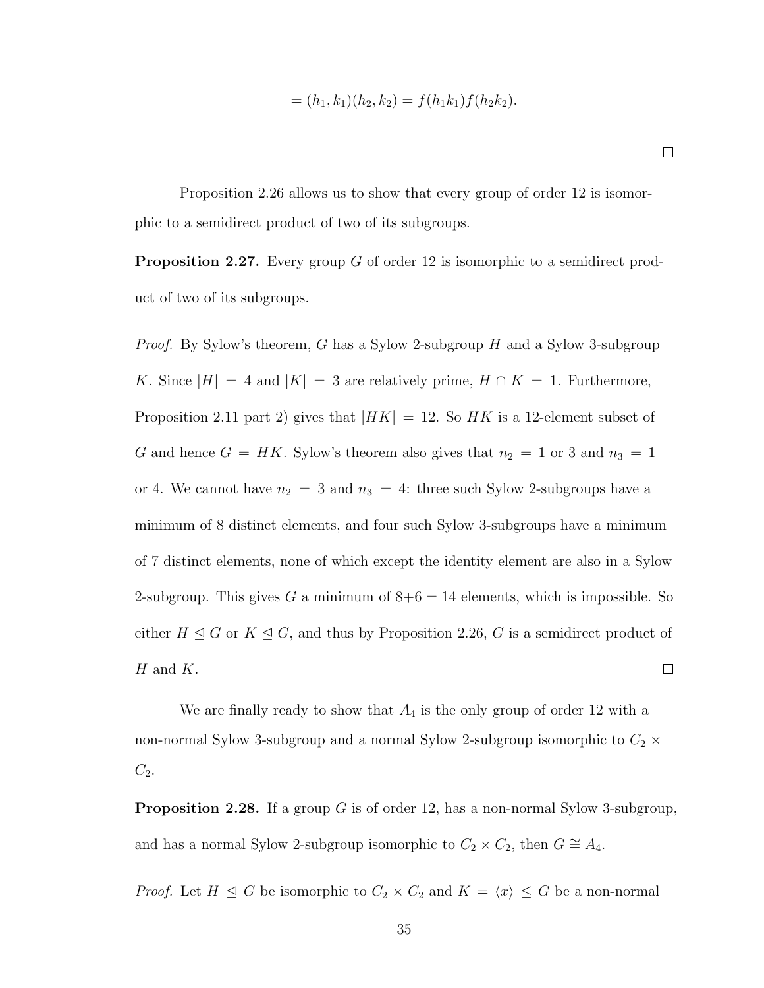$$
= (h_1, k_1)(h_2, k_2) = f(h_1k_1)f(h_2k_2).
$$

 $\Box$ 

Proposition 2.26 allows us to show that every group of order 12 is isomorphic to a semidirect product of two of its subgroups.

**Proposition 2.27.** Every group G of order 12 is isomorphic to a semidirect product of two of its subgroups.

*Proof.* By Sylow's theorem, G has a Sylow 2-subgroup H and a Sylow 3-subgroup K. Since  $|H| = 4$  and  $|K| = 3$  are relatively prime,  $H \cap K = 1$ . Furthermore, Proposition 2.11 part 2) gives that  $|HK| = 12$ . So HK is a 12-element subset of G and hence  $G = HK$ . Sylow's theorem also gives that  $n_2 = 1$  or 3 and  $n_3 = 1$ or 4. We cannot have  $n_2 = 3$  and  $n_3 = 4$ : three such Sylow 2-subgroups have a minimum of 8 distinct elements, and four such Sylow 3-subgroups have a minimum of 7 distinct elements, none of which except the identity element are also in a Sylow 2-subgroup. This gives G a minimum of  $8+6 = 14$  elements, which is impossible. So either  $H \trianglelefteq G$  or  $K \trianglelefteq G$ , and thus by Proposition 2.26, G is a semidirect product of  $H$  and  $K$ .  $\Box$ 

We are finally ready to show that  $A_4$  is the only group of order 12 with a non-normal Sylow 3-subgroup and a normal Sylow 2-subgroup isomorphic to  $C_2 \times$  $C_2$ .

**Proposition 2.28.** If a group G is of order 12, has a non-normal Sylow 3-subgroup, and has a normal Sylow 2-subgroup isomorphic to  $C_2 \times C_2$ , then  $G \cong A_4$ .

*Proof.* Let  $H \subseteq G$  be isomorphic to  $C_2 \times C_2$  and  $K = \langle x \rangle \leq G$  be a non-normal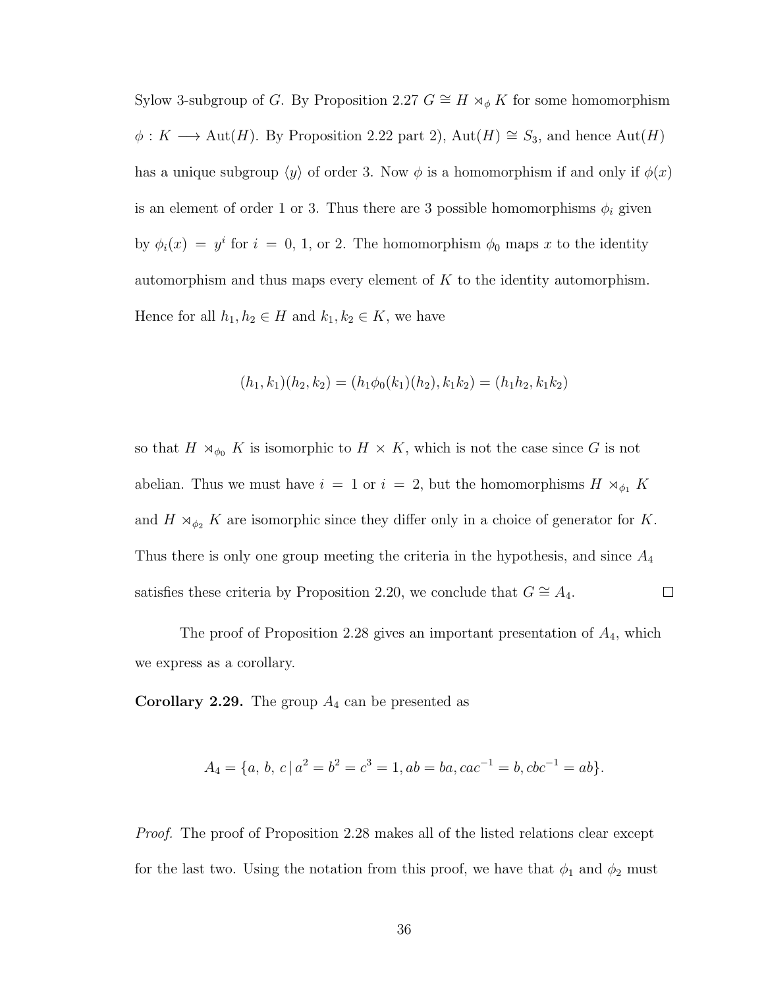Sylow 3-subgroup of G. By Proposition 2.27  $G \cong H \rtimes_{\phi} K$  for some homomorphism  $\phi: K \longrightarrow \text{Aut}(H)$ . By Proposition 2.22 part 2), Aut(H) ≅  $S_3$ , and hence Aut(H) has a unique subgroup  $\langle y \rangle$  of order 3. Now  $\phi$  is a homomorphism if and only if  $\phi(x)$ is an element of order 1 or 3. Thus there are 3 possible homomorphisms  $\phi_i$  given by  $\phi_i(x) = y^i$  for  $i = 0, 1$ , or 2. The homomorphism  $\phi_0$  maps x to the identity automorphism and thus maps every element of  $K$  to the identity automorphism. Hence for all  $h_1, h_2 \in H$  and  $k_1, k_2 \in K$ , we have

$$
(h_1,k_1)(h_2,k_2) = (h_1\phi_0(k_1)(h_2), k_1k_2) = (h_1h_2, k_1k_2)
$$

so that  $H \rtimes_{\phi_0} K$  is isomorphic to  $H \times K$ , which is not the case since G is not abelian. Thus we must have  $i = 1$  or  $i = 2$ , but the homomorphisms  $H \rtimes_{\phi_1} K$ and  $H \rtimes_{\phi_2} K$  are isomorphic since they differ only in a choice of generator for K. Thus there is only one group meeting the criteria in the hypothesis, and since  $A_4$  $\Box$ satisfies these criteria by Proposition 2.20, we conclude that  $G \cong A_4$ .

The proof of Proposition 2.28 gives an important presentation of  $A_4$ , which we express as a corollary.

**Corollary 2.29.** The group  $A_4$  can be presented as

$$
A_4 = \{a, b, c \mid a^2 = b^2 = c^3 = 1, ab = ba, cac^{-1} = b, cbc^{-1} = ab\}.
$$

Proof. The proof of Proposition 2.28 makes all of the listed relations clear except for the last two. Using the notation from this proof, we have that  $\phi_1$  and  $\phi_2$  must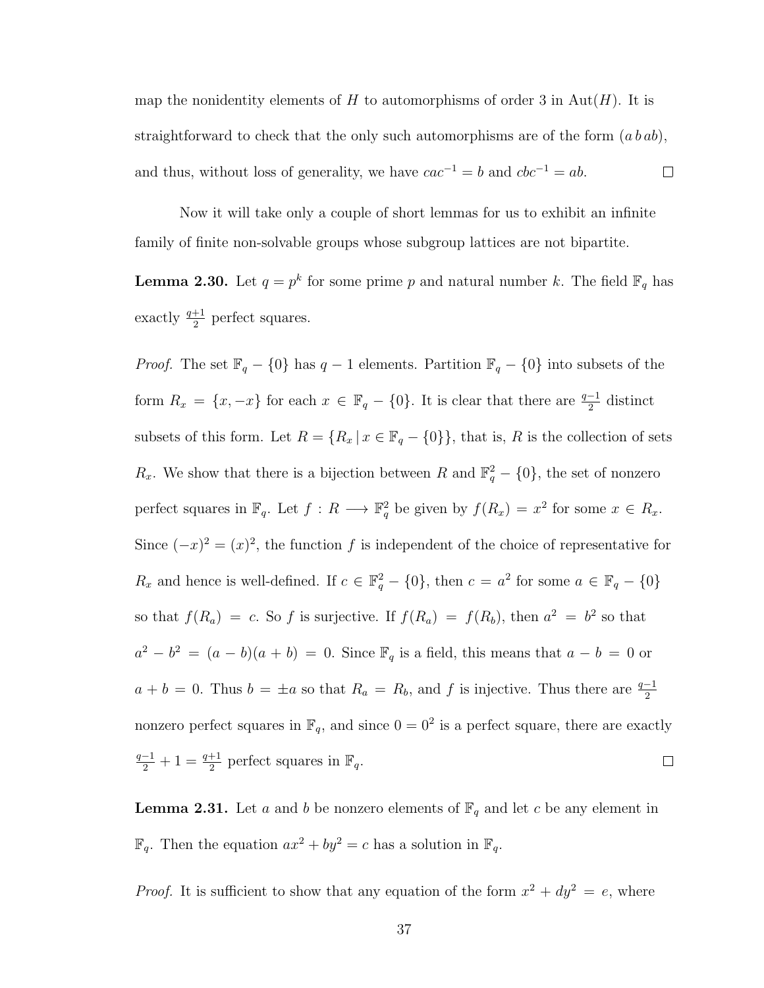map the nonidentity elements of H to automorphisms of order 3 in Aut $(H)$ . It is straightforward to check that the only such automorphisms are of the form  $(a b a b)$ , and thus, without loss of generality, we have  $cac^{-1} = b$  and  $cbc^{-1} = ab$ .  $\Box$ 

Now it will take only a couple of short lemmas for us to exhibit an infnite family of fnite non-solvable groups whose subgroup lattices are not bipartite.

**Lemma 2.30.** Let  $q = p^k$  for some prime p and natural number k. The field  $\mathbb{F}_q$  has exactly  $\frac{q+1}{2}$  perfect squares.

*Proof.* The set  $\mathbb{F}_q - \{0\}$  has  $q - 1$  elements. Partition  $\mathbb{F}_q - \{0\}$  into subsets of the form  $R_x = \{x, -x\}$  for each  $x \in \mathbb{F}_q - \{0\}$ . It is clear that there are  $\frac{q-1}{2}$  distinct subsets of this form. Let  $R = \{R_x | x \in \mathbb{F}_q - \{0\}\}\$ , that is, R is the collection of sets  $R_x$ . We show that there is a bijection between R and  $\mathbb{F}_q^2 - \{0\}$ , the set of nonzero perfect squares in  $\mathbb{F}_q$ . Let  $f: R \longrightarrow \mathbb{F}_q^2$  be given by  $f(R_x) = x^2$  for some  $x \in R_x$ . Since  $(-x)^2 = (x)^2$ , the function f is independent of the choice of representative for  $R_x$  and hence is well-defined. If  $c \in \mathbb{F}_q^2 - \{0\}$ , then  $c = a^2$  for some  $a \in \mathbb{F}_q - \{0\}$ so that  $f(R_a) = c$ . So f is surjective. If  $f(R_a) = f(R_b)$ , then  $a^2 = b^2$  so that  $a^2 - b^2 = (a - b)(a + b) = 0$ . Since  $\mathbb{F}_q$  is a field, this means that  $a - b = 0$  or  $a + b = 0$ . Thus  $b = \pm a$  so that  $R_a = R_b$ , and f is injective. Thus there are  $\frac{q-1}{2}$ nonzero perfect squares in  $\mathbb{F}_q$ , and since  $0 = 0^2$  is a perfect square, there are exactly  $\frac{q-1}{2}+1=\frac{q+1}{2}$  perfect squares in  $\mathbb{F}_q$ .  $\Box$ 

**Lemma 2.31.** Let a and b be nonzero elements of  $\mathbb{F}_q$  and let c be any element in  $\mathbb{F}_q$ . Then the equation  $ax^2 + by^2 = c$  has a solution in  $\mathbb{F}_q$ .

*Proof.* It is sufficient to show that any equation of the form  $x^2 + dy^2 = e$ , where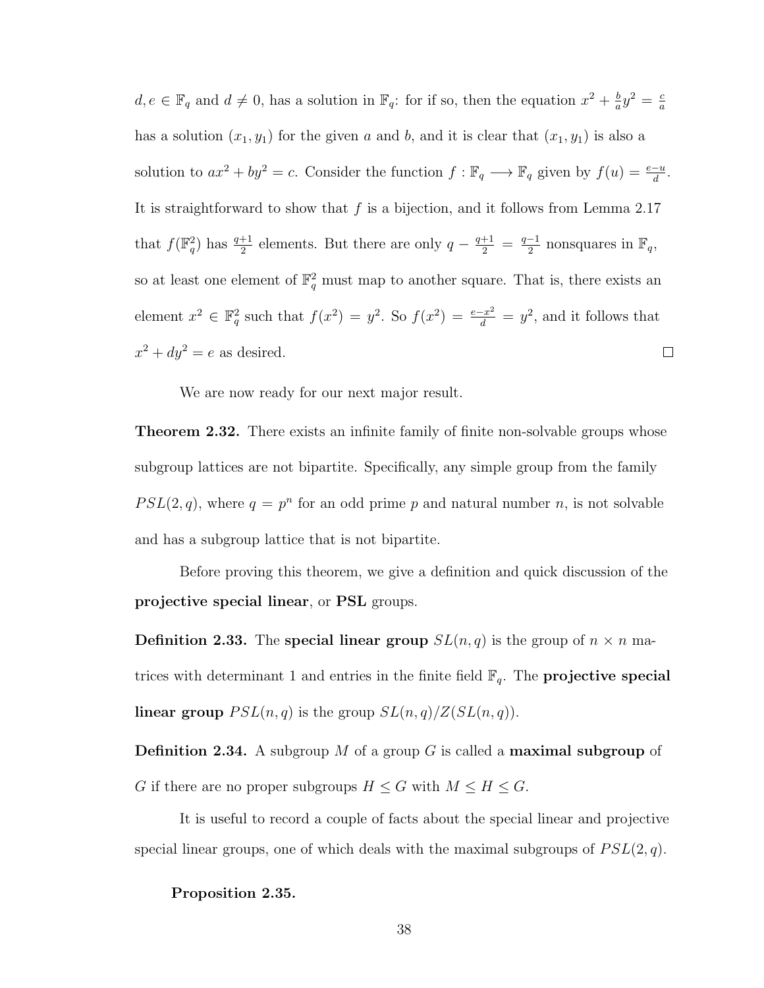$d, e \in \mathbb{F}_q$  and  $d \neq 0$ , has a solution in  $\mathbb{F}_q$ : for if so, then the equation  $x^2 + \frac{b}{a}$  $rac{b}{a}y^2 = \frac{c}{a}$ a has a solution  $(x_1, y_1)$  for the given a and b, and it is clear that  $(x_1, y_1)$  is also a solution to  $ax^2 + by^2 = c$ . Consider the function  $f : \mathbb{F}_q \longrightarrow \mathbb{F}_q$  given by  $f(u) = \frac{e-u}{d}$ . It is straightforward to show that  $f$  is a bijection, and it follows from Lemma 2.17 that  $f(\mathbb{F}_q^2)$  has  $\frac{q+1}{2}$  elements. But there are only  $q-\frac{q+1}{2}=\frac{q-1}{2}$  $\frac{-1}{2}$  nonsquares in  $\mathbb{F}_q$ , so at least one element of  $\mathbb{F}_q^2$  must map to another square. That is, there exists an element  $x^2 \in \mathbb{F}_q^2$  such that  $f(x^2) = y^2$ . So  $f(x^2) = \frac{e-x^2}{d} = y^2$ , and it follows that  $x^2 + dy^2 = e$  as desired.  $\Box$ 

We are now ready for our next major result.

**Theorem 2.32.** There exists an infinite family of finite non-solvable groups whose subgroup lattices are not bipartite. Specifcally, any simple group from the family  $PSL(2,q)$ , where  $q = p^n$  for an odd prime p and natural number n, is not solvable and has a subgroup lattice that is not bipartite.

Before proving this theorem, we give a defnition and quick discussion of the projective special linear, or PSL groups.

**Definition 2.33.** The special linear group  $SL(n,q)$  is the group of  $n \times n$  matrices with determinant 1 and entries in the finite field  $\mathbb{F}_q$ . The **projective special linear group**  $PSL(n,q)$  is the group  $SL(n,q)/Z(SL(n,q))$ .

**Definition 2.34.** A subgroup M of a group G is called a **maximal subgroup** of G if there are no proper subgroups  $H \leq G$  with  $M \leq H \leq G$ .

It is useful to record a couple of facts about the special linear and projective special linear groups, one of which deals with the maximal subgroups of  $PSL(2, q)$ .

Proposition 2.35.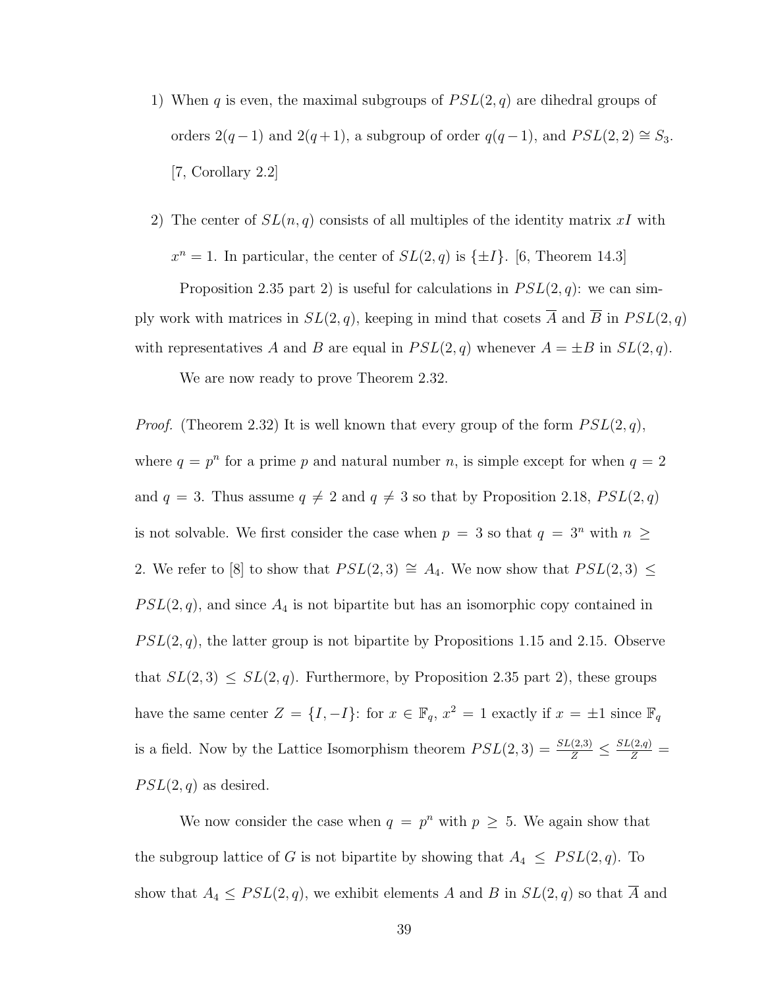- 1) When q is even, the maximal subgroups of  $PSL(2,q)$  are dihedral groups of orders  $2(q-1)$  and  $2(q+1)$ , a subgroup of order  $q(q-1)$ , and  $PSL(2, 2) \cong S_3$ . [7, Corollary 2.2]
- 2) The center of  $SL(n, q)$  consists of all multiples of the identity matrix xI with  $x^n = 1$ . In particular, the center of  $SL(2, q)$  is  $\{\pm I\}$ . [6, Theorem 14.3]

Proposition 2.35 part 2) is useful for calculations in  $PSL(2,q)$ : we can simply work with matrices in  $SL(2, q)$ , keeping in mind that cosets  $\overline{A}$  and  $\overline{B}$  in  $PSL(2, q)$ with representatives A and B are equal in  $PSL(2,q)$  whenever  $A = \pm B$  in  $SL(2,q)$ .

We are now ready to prove Theorem 2.32.

*Proof.* (Theorem 2.32) It is well known that every group of the form  $PSL(2, q)$ , where  $q = p^n$  for a prime p and natural number n, is simple except for when  $q = 2$ and  $q = 3$ . Thus assume  $q \neq 2$  and  $q \neq 3$  so that by Proposition 2.18,  $PSL(2, q)$ is not solvable. We first consider the case when  $p = 3$  so that  $q = 3^n$  with  $n \geq$ 2. We refer to [8] to show that  $PSL(2,3) \cong A_4$ . We now show that  $PSL(2,3) \leq$  $PSL(2, q)$ , and since  $A_4$  is not bipartite but has an isomorphic copy contained in  $PSL(2, q)$ , the latter group is not bipartite by Propositions 1.15 and 2.15. Observe that  $SL(2,3) \le SL(2,q)$ . Furthermore, by Proposition 2.35 part 2), these groups have the same center  $Z = \{I, -I\}$ : for  $x \in \mathbb{F}_q$ ,  $x^2 = 1$  exactly if  $x = \pm 1$  since  $\mathbb{F}_q$ is a field. Now by the Lattice Isomorphism theorem  $PSL(2,3) = \frac{SL(2,3)}{Z} \leq \frac{SL(2,q)}{Z}$  $PSL(2,q)$  as desired.

We now consider the case when  $q = p^n$  with  $p \geq 5$ . We again show that the subgroup lattice of G is not bipartite by showing that  $A_4 \leq PSL(2,q)$ . To show that  $A_4 \leq PSL(2,q)$ , we exhibit elements A and B in  $SL(2,q)$  so that  $\overline{A}$  and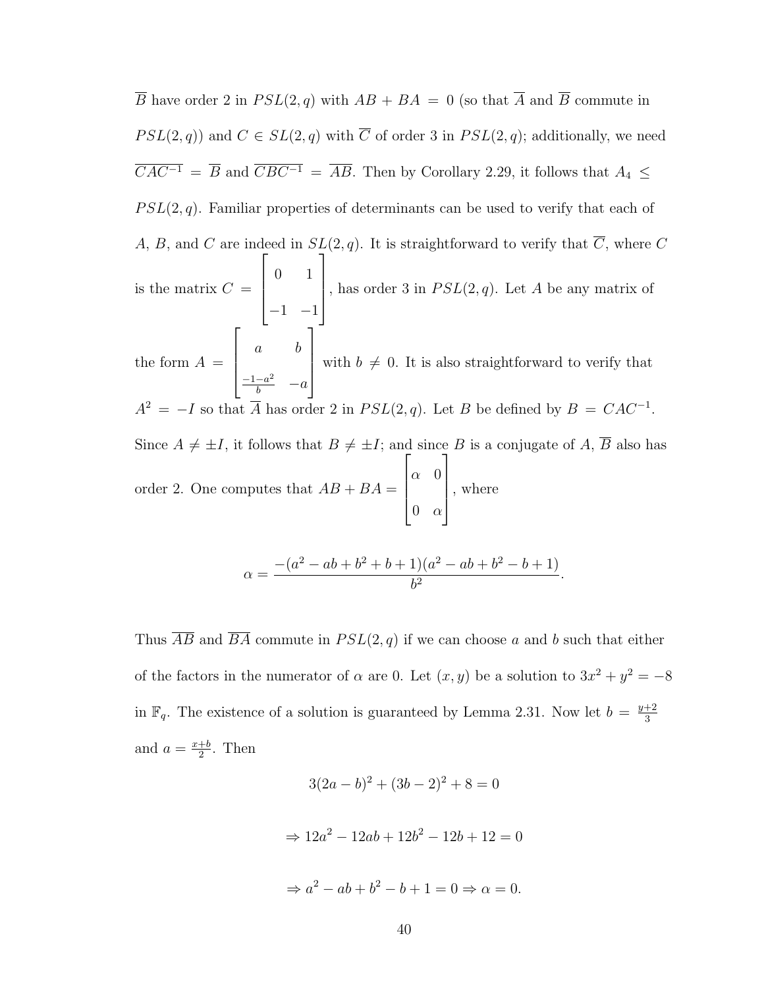$\overline{B}$  have order 2 in  $PSL(2,q)$  with  $AB + BA = 0$  (so that  $\overline{A}$  and  $\overline{B}$  commute in  $PSL(2,q)$  and  $C \in SL(2,q)$  with  $\overline{C}$  of order 3 in  $PSL(2,q)$ ; additionally, we need  $\overline{CAC^{-1}} = \overline{B}$  and  $\overline{CBC^{-1}} = \overline{AB}$ . Then by Corollary 2.29, it follows that  $A_4 \leq$  $PSL(2, q)$ . Familiar properties of determinants can be used to verify that each of A, B, and C are indeed in  $SL(2, q)$ . It is straightforward to verify that  $\overline{C}$ , where C is the matrix  $C =$  $\sqrt{ }$  0 1  $-1$   $-1$ 1 , has order 3 in  $PSL(2,q)$ . Let A be any matrix of the form  $A =$  $\sqrt{ }$  a b  $\frac{-1-a^2}{b}$  –a 1  $\overline{\phantom{a}}$ with  $b \neq 0$ . It is also straightforward to verify that  $A^2 = -I$  so that  $\overline{A}$  has order 2 in  $PSL(2,q)$ . Let B be defined by  $B = CAC^{-1}$ . Since  $A \neq \pm I$ , it follows that  $B \neq \pm I$ ; and since B is a conjugate of A,  $\overline{B}$  also has order 2. One computes that  $AB + BA =$  $\sqrt{ }$  $\Big\}$  $\alpha$  0  $0 \quad \alpha$ 1  $\begin{array}{c} \begin{array}{c} \begin{array}{c} \end{array} \end{array} \end{array}$ , where

$$
\alpha = \frac{-(a^2 - ab + b^2 + b + 1)(a^2 - ab + b^2 - b + 1)}{b^2}.
$$

Thus  $\overline{AB}$  and  $\overline{BA}$  commute in  $PSL(2,q)$  if we can choose a and b such that either of the factors in the numerator of  $\alpha$  are 0. Let  $(x, y)$  be a solution to  $3x^2 + y^2 = -8$ in  $\mathbb{F}_q$ . The existence of a solution is guaranteed by Lemma 2.31. Now let  $b = \frac{y+2}{3}$ 3 and  $a = \frac{x+b}{2}$  $\frac{+b}{2}$ . Then

$$
3(2a - b)^2 + (3b - 2)^2 + 8 = 0
$$
  
\n
$$
\Rightarrow 12a^2 - 12ab + 12b^2 - 12b + 12 = 0
$$
  
\n
$$
\Rightarrow a^2 - ab + b^2 - b + 1 = 0 \Rightarrow \alpha = 0.
$$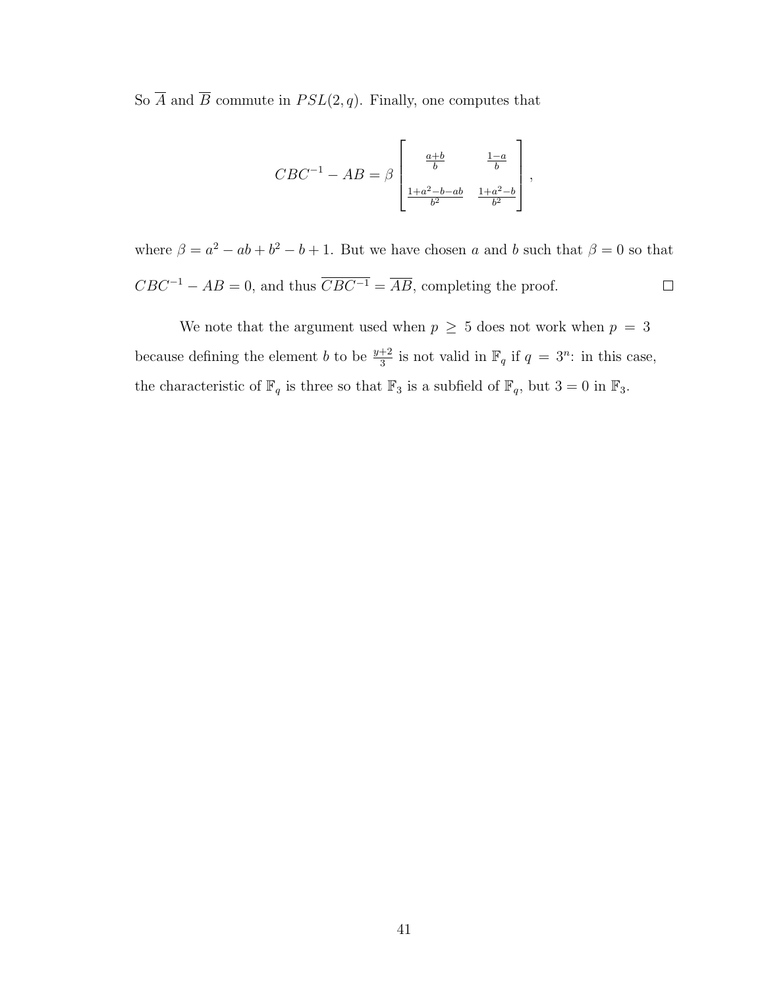So  $\overline{A}$  and  $\overline{B}$  commute in  $PSL(2,q)$ . Finally, one computes that

$$
CBC^{-1} - AB = \beta \begin{bmatrix} \frac{a+b}{b} & \frac{1-a}{b} \\ \frac{1+a^2-b-ab}{b^2} & \frac{1+a^2-b}{b^2} \end{bmatrix},
$$

where  $\beta = a^2 - ab + b^2 - b + 1$ . But we have chosen a and b such that  $\beta = 0$  so that  $CBC^{-1} - AB = 0$ , and thus  $\overline{CBC^{-1}} = \overline{AB}$ , completing the proof.  $\Box$ 

We note that the argument used when  $p \geq 5$  does not work when  $p = 3$ because defining the element b to be  $\frac{y+2}{3}$  is not valid in  $\mathbb{F}_q$  if  $q = 3^n$ : in this case, the characteristic of  $\mathbb{F}_q$  is three so that  $\mathbb{F}_3$  is a subfield of  $\mathbb{F}_q$ , but  $3 = 0$  in  $\mathbb{F}_3$ .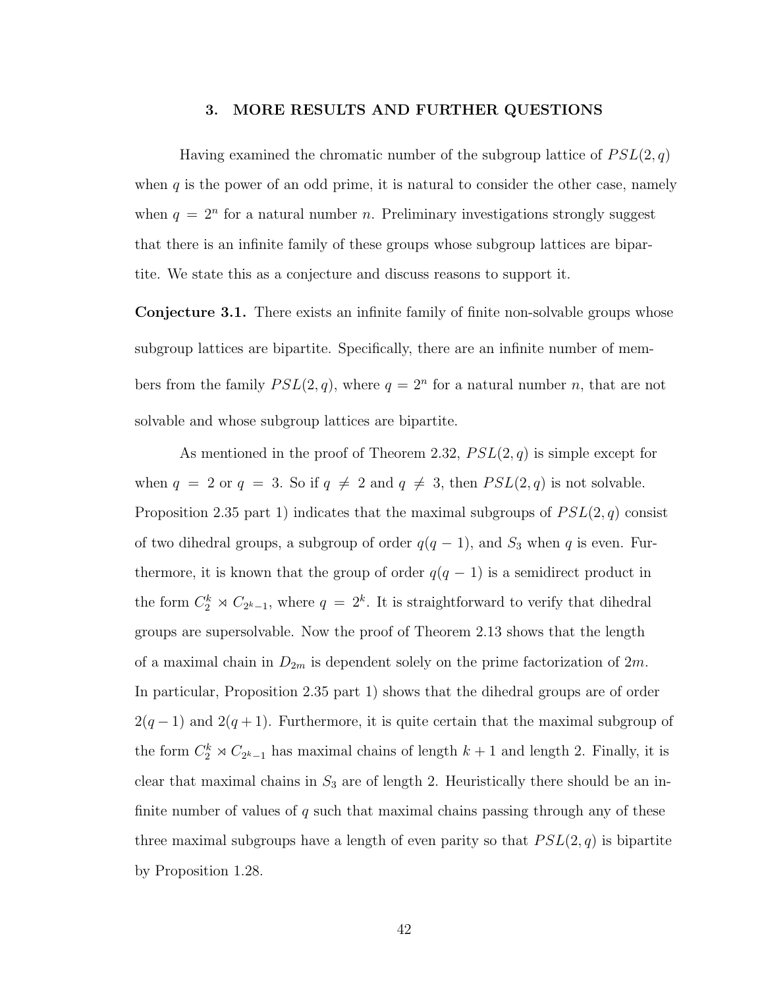#### 3. MORE RESULTS AND FURTHER QUESTIONS

<span id="page-49-0"></span>Having examined the chromatic number of the subgroup lattice of  $PSL(2,q)$ when  $q$  is the power of an odd prime, it is natural to consider the other case, namely when  $q = 2^n$  for a natural number n. Preliminary investigations strongly suggest that there is an infnite family of these groups whose subgroup lattices are bipartite. We state this as a conjecture and discuss reasons to support it.

Conjecture 3.1. There exists an infnite family of fnite non-solvable groups whose subgroup lattices are bipartite. Specifcally, there are an infnite number of members from the family  $PSL(2,q)$ , where  $q = 2<sup>n</sup>$  for a natural number n, that are not solvable and whose subgroup lattices are bipartite.

As mentioned in the proof of Theorem 2.32,  $PSL(2, q)$  is simple except for when  $q = 2$  or  $q = 3$ . So if  $q \neq 2$  and  $q \neq 3$ , then  $PSL(2, q)$  is not solvable. Proposition 2.35 part 1) indicates that the maximal subgroups of  $PSL(2,q)$  consist of two dihedral groups, a subgroup of order  $q(q - 1)$ , and  $S_3$  when q is even. Furthermore, it is known that the group of order  $q(q-1)$  is a semidirect product in the form  $C_2^k \rtimes C_{2^k-1}$ , where  $q = 2^k$ . It is straightforward to verify that dihedral groups are supersolvable. Now the proof of Theorem 2.13 shows that the length of a maximal chain in  $D_{2m}$  is dependent solely on the prime factorization of  $2m$ . In particular, Proposition 2.35 part 1) shows that the dihedral groups are of order  $2(q-1)$  and  $2(q+1)$ . Furthermore, it is quite certain that the maximal subgroup of the form  $C_2^k \rtimes C_{2^k-1}$  has maximal chains of length k + 1 and length 2. Finally, it is clear that maximal chains in  $S_3$  are of length 2. Heuristically there should be an infinite number of values of q such that maximal chains passing through any of these three maximal subgroups have a length of even parity so that  $PSL(2, q)$  is bipartite by Proposition 1.28.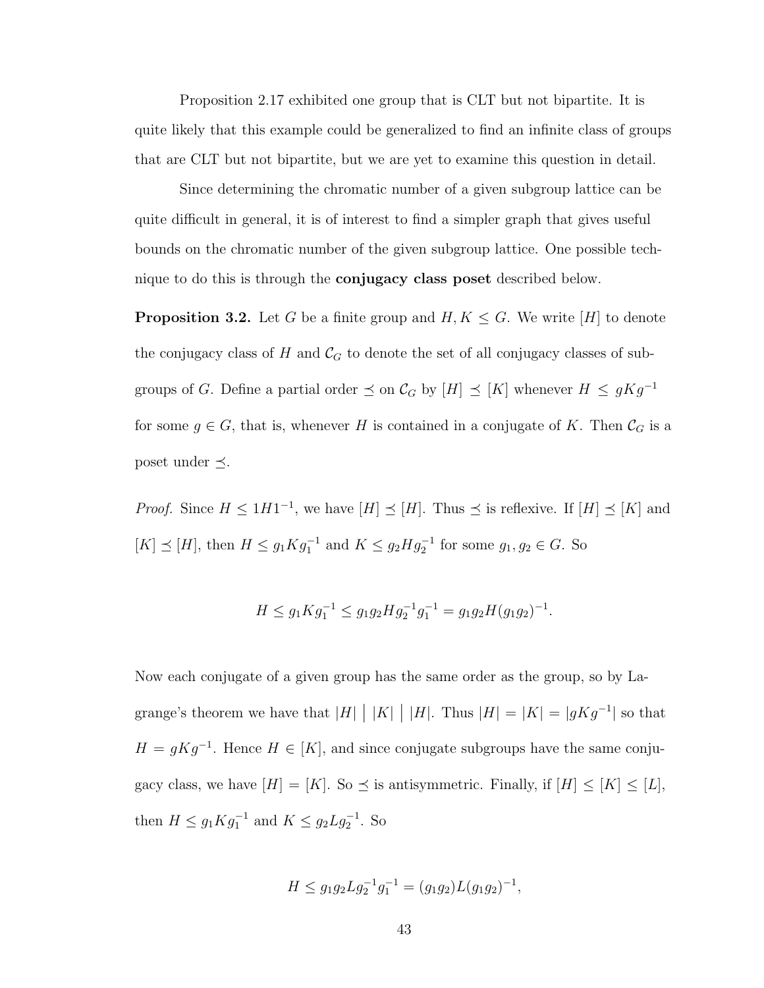Proposition 2.17 exhibited one group that is CLT but not bipartite. It is quite likely that this example could be generalized to fnd an infnite class of groups that are CLT but not bipartite, but we are yet to examine this question in detail.

Since determining the chromatic number of a given subgroup lattice can be quite difcult in general, it is of interest to fnd a simpler graph that gives useful bounds on the chromatic number of the given subgroup lattice. One possible technique to do this is through the conjugacy class poset described below.

**Proposition 3.2.** Let G be a finite group and  $H, K \leq G$ . We write [H] to denote the conjugacy class of H and  $\mathcal{C}_G$  to denote the set of all conjugacy classes of subgroups of G. Define a partial order  $\preceq$  on  $\mathcal{C}_G$  by  $[H] \preceq [K]$  whenever  $H \preceq gKg^{-1}$ for some  $g \in G$ , that is, whenever H is contained in a conjugate of K. Then  $\mathcal{C}_G$  is a poset under  $\preceq$ .

*Proof.* Since  $H \leq 1H1^{-1}$ , we have  $[H] \preceq [H]$ . Thus  $\preceq$  is reflexive. If  $[H] \preceq [K]$  and  $[K] \preceq [H]$ , then  $H \leq g_1 K g_1^{-1}$  and  $K \leq g_2 H g_2^{-1}$  for some  $g_1, g_2 \in G$ . So

$$
H \le g_1 K g_1^{-1} \le g_1 g_2 H g_2^{-1} g_1^{-1} = g_1 g_2 H (g_1 g_2)^{-1}.
$$

Now each conjugate of a given group has the same order as the group, so by Lagrange's theorem we have that  $|H|$  |  $|K|$  |  $|H|$ . Thus  $|H| = |K| = |gKg^{-1}|$  so that  $H = gKg^{-1}$ . Hence  $H \in [K]$ , and since conjugate subgroups have the same conjugacy class, we have  $[H] = [K]$ . So  $\preceq$  is antisymmetric. Finally, if  $[H] \leq [K] \leq [L]$ , then  $H \le g_1 K g_1^{-1}$  and  $K \le g_2 L g_2^{-1}$ . So

$$
H \le g_1 g_2 L g_2^{-1} g_1^{-1} = (g_1 g_2) L (g_1 g_2)^{-1},
$$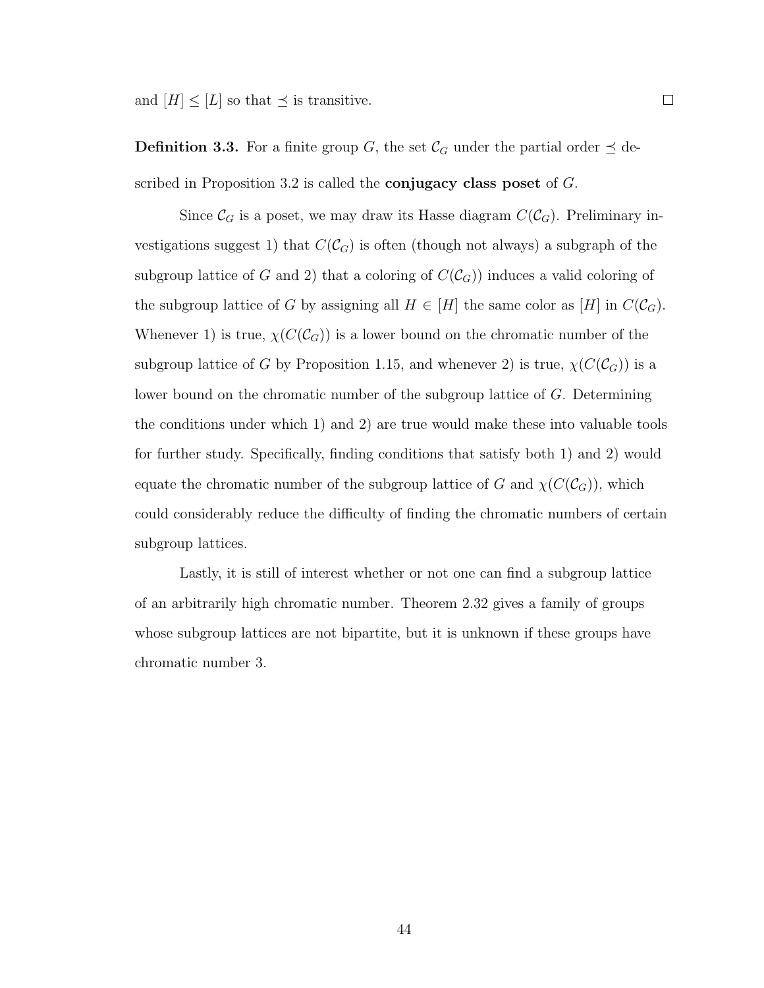and  $[H] \leq [L]$  so that  $\preceq$  is transitive.

**Definition 3.3.** For a finite group G, the set  $\mathcal{C}_G$  under the partial order  $\preceq$  described in Proposition 3.2 is called the **conjugacy class poset** of  $G$ .

Since  $\mathcal{C}_G$  is a poset, we may draw its Hasse diagram  $C(\mathcal{C}_G)$ . Preliminary investigations suggest 1) that  $C(\mathcal{C}_G)$  is often (though not always) a subgraph of the subgroup lattice of G and 2) that a coloring of  $C(\mathcal{C}_G)$  induces a valid coloring of the subgroup lattice of G by assigning all  $H \in [H]$  the same color as  $[H]$  in  $C(\mathcal{C}_G)$ . Whenever 1) is true,  $\chi(C(\mathcal{C}_G))$  is a lower bound on the chromatic number of the subgroup lattice of G by Proposition 1.15, and whenever 2) is true,  $\chi(C(\mathcal{C}_G))$  is a lower bound on the chromatic number of the subgroup lattice of G. Determining the conditions under which 1) and 2) are true would make these into valuable tools for further study. Specifcally, fnding conditions that satisfy both 1) and 2) would equate the chromatic number of the subgroup lattice of G and  $\chi(C(\mathcal{C}_G))$ , which could considerably reduce the difficulty of finding the chromatic numbers of certain subgroup lattices.

Lastly, it is still of interest whether or not one can fnd a subgroup lattice of an arbitrarily high chromatic number. Theorem 2.32 gives a family of groups whose subgroup lattices are not bipartite, but it is unknown if these groups have chromatic number 3.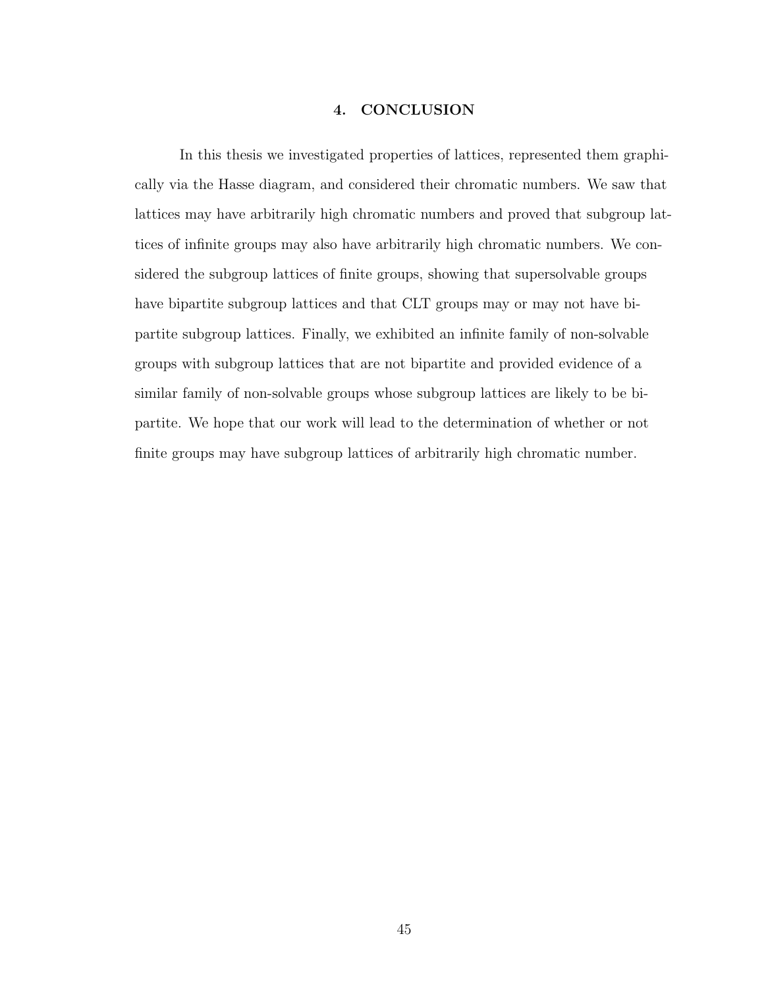## 4. CONCLUSION

<span id="page-52-0"></span>In this thesis we investigated properties of lattices, represented them graphically via the Hasse diagram, and considered their chromatic numbers. We saw that lattices may have arbitrarily high chromatic numbers and proved that subgroup lattices of infnite groups may also have arbitrarily high chromatic numbers. We considered the subgroup lattices of fnite groups, showing that supersolvable groups have bipartite subgroup lattices and that CLT groups may or may not have bipartite subgroup lattices. Finally, we exhibited an infnite family of non-solvable groups with subgroup lattices that are not bipartite and provided evidence of a similar family of non-solvable groups whose subgroup lattices are likely to be bipartite. We hope that our work will lead to the determination of whether or not fnite groups may have subgroup lattices of arbitrarily high chromatic number.